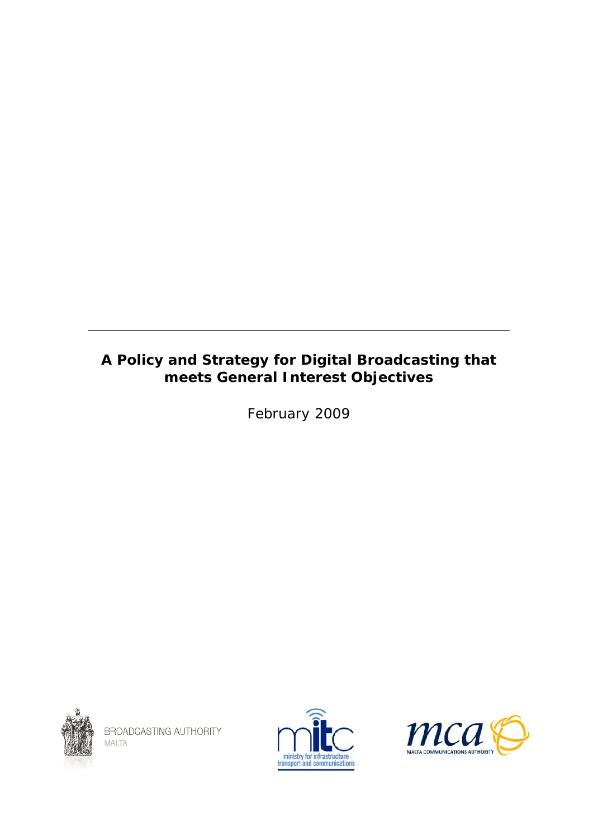# <span id="page-0-0"></span>**A Policy and Strategy for Digital Broadcasting that meets General Interest Objectives**

February 2009



BROADCASTING AUTHORITY MALTA



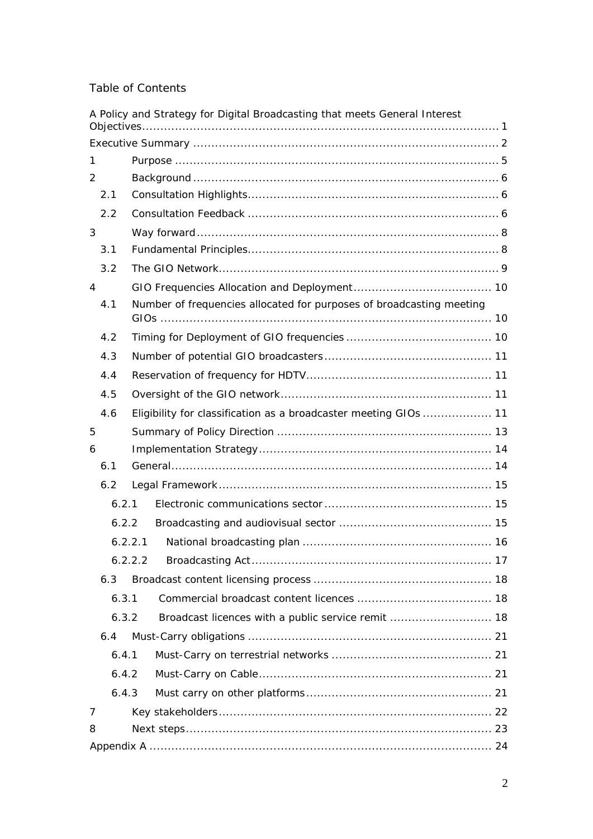# Table of Contents

|                |       |         | A Policy and Strategy for Digital Broadcasting that meets General Interest |  |
|----------------|-------|---------|----------------------------------------------------------------------------|--|
|                |       |         |                                                                            |  |
| 1              |       |         |                                                                            |  |
| 2              |       |         |                                                                            |  |
|                | 2.1   |         |                                                                            |  |
|                | 2.2   |         |                                                                            |  |
| 3              |       |         |                                                                            |  |
|                | 3.1   |         |                                                                            |  |
|                | 3.2   |         |                                                                            |  |
| $\overline{4}$ |       |         |                                                                            |  |
|                | 4.1   |         | Number of frequencies allocated for purposes of broadcasting meeting       |  |
|                |       |         |                                                                            |  |
|                | 4.2   |         |                                                                            |  |
|                | 4.3   |         |                                                                            |  |
|                | 4.4   |         |                                                                            |  |
|                | 4.5   |         |                                                                            |  |
|                | 4.6   |         | Eligibility for classification as a broadcaster meeting GIOs  11           |  |
| 5              |       |         |                                                                            |  |
| 6              |       |         |                                                                            |  |
|                | 6.1   |         |                                                                            |  |
|                | 6.2   |         |                                                                            |  |
|                | 6.2.1 |         |                                                                            |  |
|                | 6.2.2 |         |                                                                            |  |
|                |       | 6.2.2.1 |                                                                            |  |
|                |       | 6.2.2.2 |                                                                            |  |
|                | 6.3   |         |                                                                            |  |
|                | 6.3.1 |         |                                                                            |  |
|                | 6.3.2 |         |                                                                            |  |
|                | 6.4   |         |                                                                            |  |
|                | 6.4.1 |         |                                                                            |  |
|                | 6.4.2 |         |                                                                            |  |
|                | 6.4.3 |         |                                                                            |  |
| 7              |       |         |                                                                            |  |
| 8              |       |         |                                                                            |  |
|                |       |         |                                                                            |  |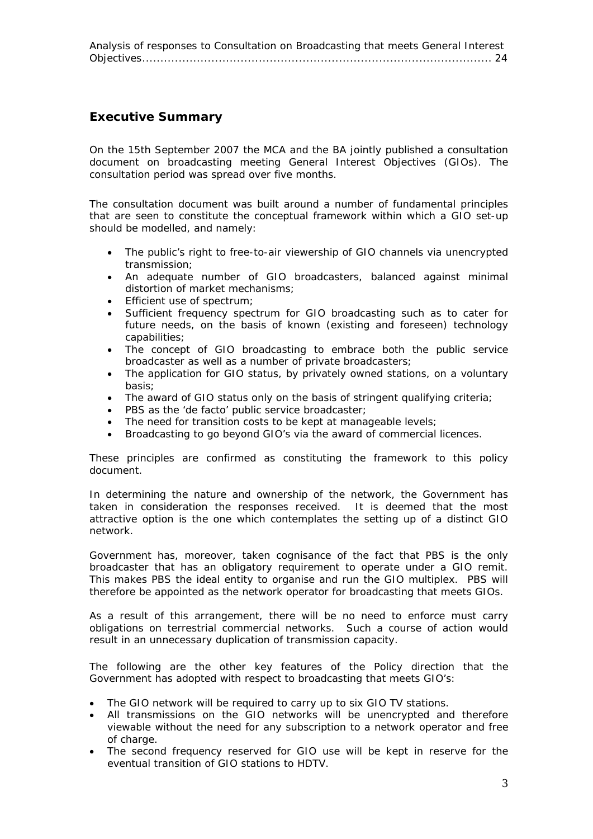<span id="page-2-0"></span>[Analysis of responses to Consultation on Broadcasting that meets General Interest](#page-23-0)  [Objectives................................................................................................ 24](#page-23-0)

# **Executive Summary**

On the 15th September 2007 the MCA and the BA jointly published a consultation document on broadcasting meeting General Interest Objectives (GIOs). The consultation period was spread over five months.

The consultation document was built around a number of fundamental principles that are seen to constitute the conceptual framework within which a GIO set-up should be modelled, and namely:

- The public's right to free-to-air viewership of GIO channels via unencrypted transmission;
- An adequate number of GIO broadcasters, balanced against minimal distortion of market mechanisms;
- Efficient use of spectrum:
- Sufficient frequency spectrum for GIO broadcasting such as to cater for future needs, on the basis of known (existing and foreseen) technology capabilities;
- The concept of GIO broadcasting to embrace both the public service broadcaster as well as a number of private broadcasters;
- The application for GIO status, by privately owned stations, on a voluntary basis;
- The award of GIO status only on the basis of stringent qualifying criteria;
- PBS as the 'de facto' public service broadcaster;
- The need for transition costs to be kept at manageable levels;
- Broadcasting to go beyond GIO's via the award of commercial licences.

These principles are confirmed as constituting the framework to this policy document.

In determining the nature and ownership of the network, the Government has taken in consideration the responses received. It is deemed that the most attractive option is the one which contemplates the setting up of a distinct GIO network.

Government has, moreover, taken cognisance of the fact that PBS is the only broadcaster that has an obligatory requirement to operate under a GIO remit. This makes PBS the ideal entity to organise and run the GIO multiplex. PBS will therefore be appointed as the network operator for broadcasting that meets GIOs.

As a result of this arrangement, there will be no need to enforce must carry obligations on terrestrial commercial networks. Such a course of action would result in an unnecessary duplication of transmission capacity.

The following are the other key features of the Policy direction that the Government has adopted with respect to broadcasting that meets GIO's:

- The GIO network will be required to carry up to six GIO TV stations.
- All transmissions on the GIO networks will be unencrypted and therefore viewable without the need for any subscription to a network operator and free of charge.
- The second frequency reserved for GIO use will be kept in reserve for the eventual transition of GIO stations to HDTV.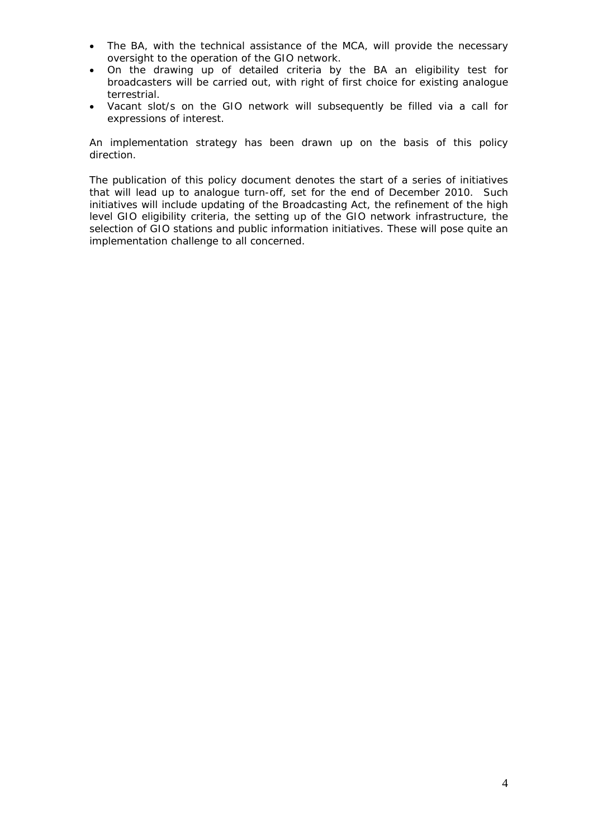- The BA, with the technical assistance of the MCA, will provide the necessary oversight to the operation of the GIO network.
- On the drawing up of detailed criteria by the BA an eligibility test for broadcasters will be carried out, with right of first choice for existing analogue terrestrial.
- Vacant slot/s on the GIO network will subsequently be filled via a call for expressions of interest.

An implementation strategy has been drawn up on the basis of this policy direction.

The publication of this policy document denotes the start of a series of initiatives that will lead up to analogue turn-off, set for the end of December 2010. Such initiatives will include updating of the Broadcasting Act, the refinement of the high level GIO eligibility criteria, the setting up of the GIO network infrastructure, the selection of GIO stations and public information initiatives. These will pose quite an implementation challenge to all concerned.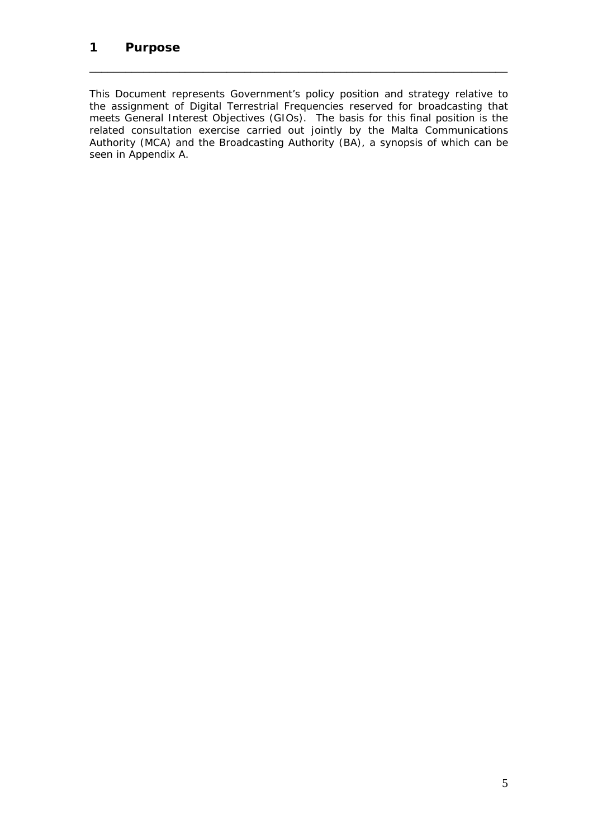This Document represents Government's policy position and strategy relative to the assignment of Digital Terrestrial Frequencies reserved for broadcasting that meets General Interest Objectives (GIOs). The basis for this final position is the related consultation exercise carried out jointly by the Malta Communications Authority (MCA) and the Broadcasting Authority (BA), a synopsis of which can be seen in Appendix A.

<span id="page-4-0"></span>\_\_\_\_\_\_\_\_\_\_\_\_\_\_\_\_\_\_\_\_\_\_\_\_\_\_\_\_\_\_\_\_\_\_\_\_\_\_\_\_\_\_\_\_\_\_\_\_\_\_\_\_\_\_\_\_\_\_\_\_\_\_\_\_\_\_\_\_\_\_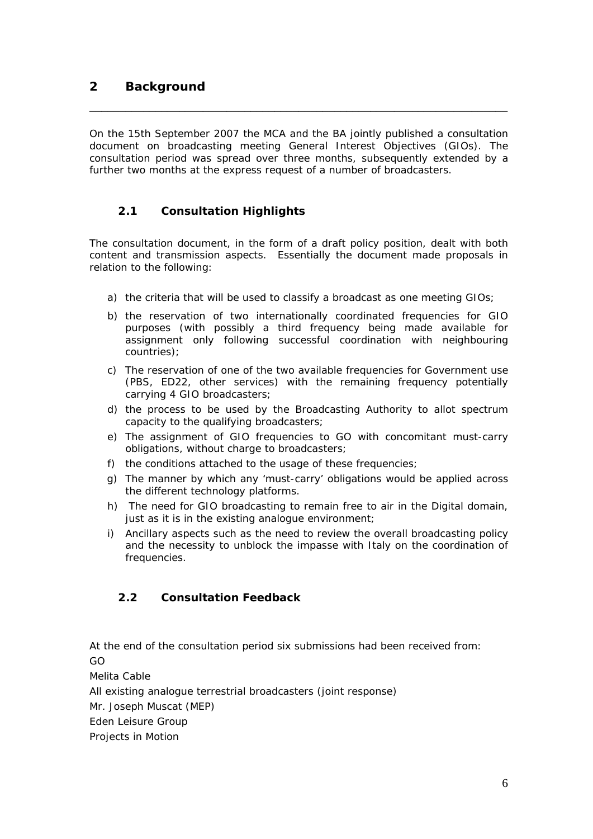On the 15th September 2007 the MCA and the BA jointly published a consultation document on broadcasting meeting General Interest Objectives (GIOs). The consultation period was spread over three months, subsequently extended by a further two months at the express request of a number of broadcasters.

<span id="page-5-0"></span>\_\_\_\_\_\_\_\_\_\_\_\_\_\_\_\_\_\_\_\_\_\_\_\_\_\_\_\_\_\_\_\_\_\_\_\_\_\_\_\_\_\_\_\_\_\_\_\_\_\_\_\_\_\_\_\_\_\_\_\_\_\_\_\_\_\_\_\_\_\_

# **2.1 Consultation Highlights**

The consultation document, in the form of a draft policy position, dealt with both content and transmission aspects. Essentially the document made proposals in relation to the following:

- a) the criteria that will be used to classify a broadcast as one meeting GIOs;
- b) the reservation of two internationally coordinated frequencies for GIO purposes (with possibly a third frequency being made available for assignment only following successful coordination with neighbouring countries);
- c) The reservation of one of the two available frequencies for Government use (PBS, ED22, other services) with the remaining frequency potentially carrying 4 GIO broadcasters;
- d) the process to be used by the Broadcasting Authority to allot spectrum capacity to the qualifying broadcasters;
- e) The assignment of GIO frequencies to GO with concomitant must-carry obligations, without charge to broadcasters;
- f) the conditions attached to the usage of these frequencies;
- g) The manner by which any 'must-carry' obligations would be applied across the different technology platforms.
- h) The need for GIO broadcasting to remain free to air in the Digital domain, just as it is in the existing analogue environment;
- i) Ancillary aspects such as the need to review the overall broadcasting policy and the necessity to unblock the impasse with Italy on the coordination of frequencies.

# **2.2 Consultation Feedback**

At the end of the consultation period six submissions had been received from: GO

Melita Cable

All existing analogue terrestrial broadcasters (joint response)

Mr. Joseph Muscat (MEP)

Eden Leisure Group

Projects in Motion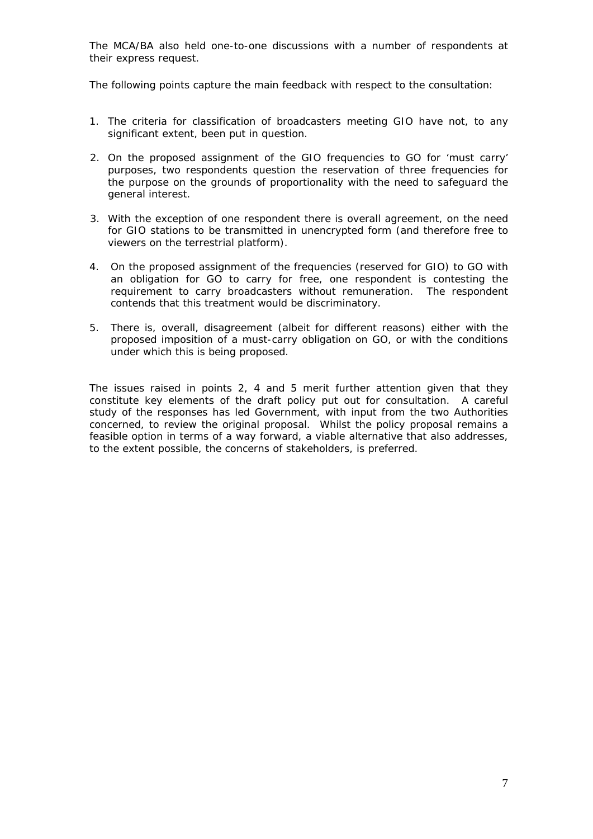The MCA/BA also held one-to-one discussions with a number of respondents at their express request.

The following points capture the main feedback with respect to the consultation:

- 1. The criteria for classification of broadcasters meeting GIO have not, to any significant extent, been put in question.
- 2. On the proposed assignment of the GIO frequencies to GO for 'must carry' purposes, two respondents question the reservation of three frequencies for the purpose on the grounds of proportionality with the need to safeguard the general interest.
- 3. With the exception of one respondent there is overall agreement, on the need for GIO stations to be transmitted in unencrypted form (and therefore free to viewers on the terrestrial platform).
- 4. On the proposed assignment of the frequencies (reserved for GIO) to GO with an obligation for GO to carry for free, one respondent is contesting the requirement to carry broadcasters without remuneration. The respondent contends that this treatment would be discriminatory.
- 5. There is, overall, disagreement (albeit for different reasons) either with the proposed imposition of a must-carry obligation on GO, or with the conditions under which this is being proposed.

The issues raised in points 2, 4 and 5 merit further attention given that they constitute key elements of the draft policy put out for consultation. A careful study of the responses has led Government, with input from the two Authorities concerned, to review the original proposal. Whilst the policy proposal remains a feasible option in terms of a way forward, a viable alternative that also addresses, to the extent possible, the concerns of stakeholders, is preferred.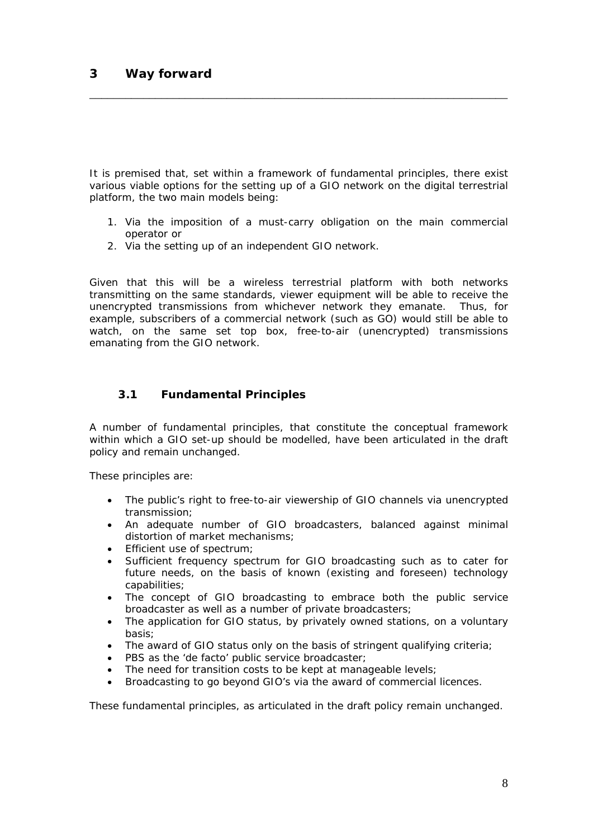It is premised that, set within a framework of fundamental principles, there exist various viable options for the setting up of a GIO network on the digital terrestrial platform, the two main models being:

<span id="page-7-0"></span>\_\_\_\_\_\_\_\_\_\_\_\_\_\_\_\_\_\_\_\_\_\_\_\_\_\_\_\_\_\_\_\_\_\_\_\_\_\_\_\_\_\_\_\_\_\_\_\_\_\_\_\_\_\_\_\_\_\_\_\_\_\_\_\_\_\_\_\_\_\_

- 1. Via the imposition of a must-carry obligation on the main commercial operator or
- 2. Via the setting up of an independent GIO network.

Given that this will be a wireless terrestrial platform with both networks transmitting on the same standards, viewer equipment will be able to receive the unencrypted transmissions from whichever network they emanate. Thus, for example, subscribers of a commercial network (such as GO) would still be able to watch, on the same set top box, free-to-air (unencrypted) transmissions emanating from the GIO network.

### **3.1 Fundamental Principles**

A number of fundamental principles, that constitute the conceptual framework within which a GIO set-up should be modelled, have been articulated in the draft policy and remain unchanged.

These principles are:

- The public's right to free-to-air viewership of GIO channels via unencrypted transmission;
- An adequate number of GIO broadcasters, balanced against minimal distortion of market mechanisms;
- Efficient use of spectrum;
- Sufficient frequency spectrum for GIO broadcasting such as to cater for future needs, on the basis of known (existing and foreseen) technology capabilities;
- The concept of GIO broadcasting to embrace both the public service broadcaster as well as a number of private broadcasters;
- The application for GIO status, by privately owned stations, on a voluntary basis;
- The award of GIO status only on the basis of stringent qualifying criteria;
- PBS as the 'de facto' public service broadcaster;
- The need for transition costs to be kept at manageable levels;
- Broadcasting to go beyond GIO's via the award of commercial licences.

These fundamental principles, as articulated in the draft policy remain unchanged.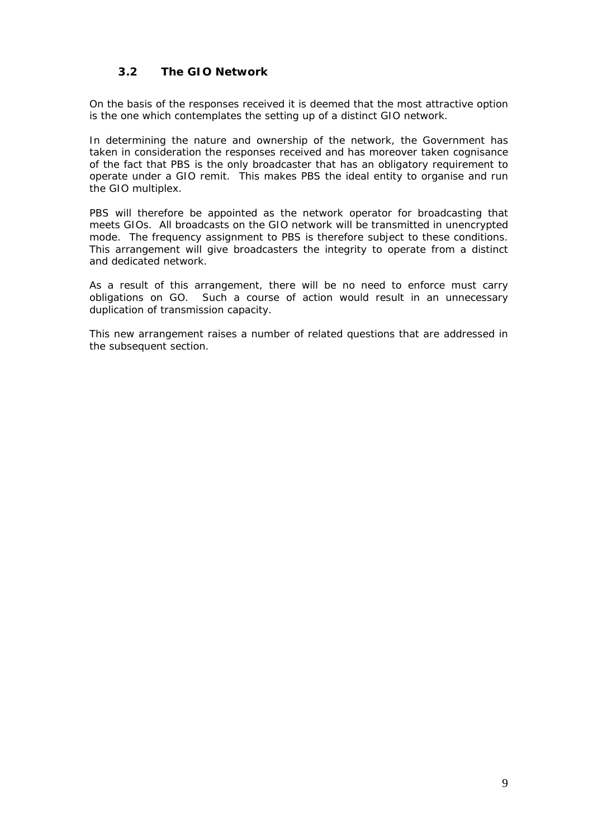### **3.2 The GIO Network**

<span id="page-8-0"></span>On the basis of the responses received it is deemed that the most attractive option is the one which contemplates the setting up of a distinct GIO network.

In determining the nature and ownership of the network, the Government has taken in consideration the responses received and has moreover taken cognisance of the fact that PBS is the only broadcaster that has an obligatory requirement to operate under a GIO remit. This makes PBS the ideal entity to organise and run the GIO multiplex.

PBS will therefore be appointed as the network operator for broadcasting that meets GIOs. All broadcasts on the GIO network will be transmitted in unencrypted mode. The frequency assignment to PBS is therefore subject to these conditions. This arrangement will give broadcasters the integrity to operate from a distinct and dedicated network.

As a result of this arrangement, there will be no need to enforce must carry obligations on GO. Such a course of action would result in an unnecessary duplication of transmission capacity.

This new arrangement raises a number of related questions that are addressed in the subsequent section.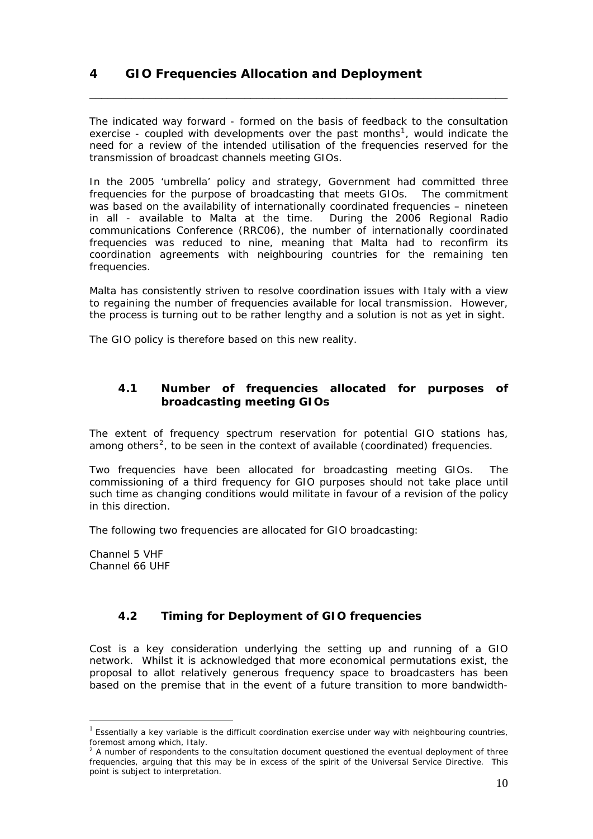# <span id="page-9-0"></span>**4 GIO Frequencies Allocation and Deployment**

The indicated way forward - formed on the basis of feedback to the consultation exercise - coupled with developments over the past months<sup>[1](#page-9-1)</sup>, would indicate the need for a review of the intended utilisation of the frequencies reserved for the transmission of broadcast channels meeting GIOs.

\_\_\_\_\_\_\_\_\_\_\_\_\_\_\_\_\_\_\_\_\_\_\_\_\_\_\_\_\_\_\_\_\_\_\_\_\_\_\_\_\_\_\_\_\_\_\_\_\_\_\_\_\_\_\_\_\_\_\_\_\_\_\_\_\_\_\_\_\_\_

In the 2005 'umbrella' policy and strategy, Government had committed three frequencies for the purpose of broadcasting that meets GIOs. The commitment was based on the availability of internationally coordinated frequencies – nineteen in all - available to Malta at the time. During the 2006 Regional Radio communications Conference (RRC06), the number of internationally coordinated frequencies was reduced to nine, meaning that Malta had to reconfirm its coordination agreements with neighbouring countries for the remaining ten frequencies.

Malta has consistently striven to resolve coordination issues with Italy with a view to regaining the number of frequencies available for local transmission. However, the process is turning out to be rather lengthy and a solution is not as yet in sight.

The GIO policy is therefore based on this new reality.

### **4.1 Number of frequencies allocated for purposes of broadcasting meeting GIOs**

The extent of frequency spectrum reservation for potential GIO stations has, among others<sup>[2](#page-9-2)</sup>, to be seen in the context of available (coordinated) frequencies.

Two frequencies have been allocated for broadcasting meeting GIOs. The commissioning of a third frequency for GIO purposes should not take place until such time as changing conditions would militate in favour of a revision of the policy in this direction.

The following two frequencies are allocated for GIO broadcasting:

Channel 5 VHF Channel 66 UHF

 $\overline{a}$ 

# **4.2 Timing for Deployment of GIO frequencies**

Cost is a key consideration underlying the setting up and running of a GIO network. Whilst it is acknowledged that more economical permutations exist, the proposal to allot relatively generous frequency space to broadcasters has been based on the premise that in the event of a future transition to more bandwidth-

<span id="page-9-1"></span> $1$  Essentially a key variable is the difficult coordination exercise under way with neighbouring countries, foremost among which, Italy.

<span id="page-9-2"></span> $2$  A number of respondents to the consultation document questioned the eventual deployment of three frequencies, arguing that this may be in excess of the spirit of the Universal Service Directive. This point is subject to interpretation.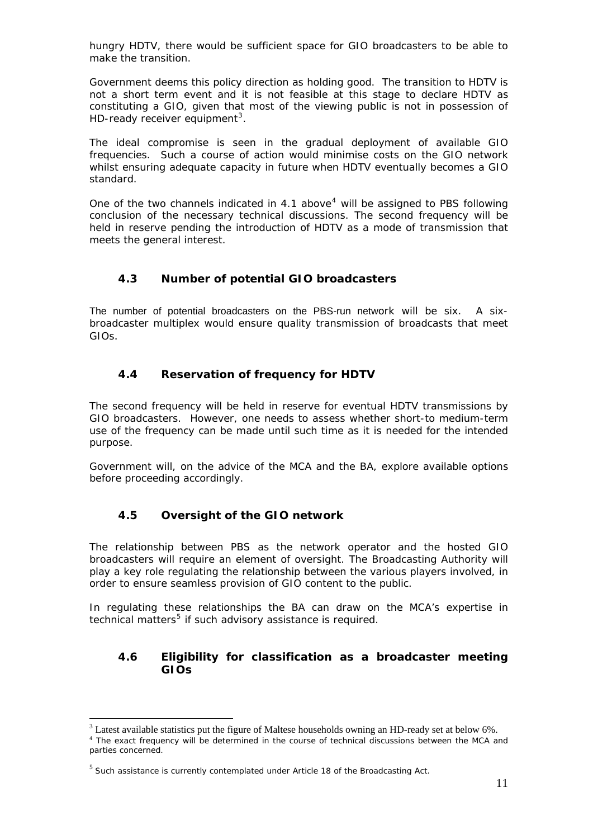<span id="page-10-0"></span>hungry HDTV, there would be sufficient space for GIO broadcasters to be able to make the transition.

Government deems this policy direction as holding good. The transition to HDTV is not a short term event and it is not feasible at this stage to declare HDTV as constituting a GIO, given that most of the viewing public is not in possession of HD-ready receiver equipment<sup>[3](#page-10-1)</sup>.

The ideal compromise is seen in the gradual deployment of available GIO frequencies. Such a course of action would minimise costs on the GIO network whilst ensuring adequate capacity in future when HDTV eventually becomes a GIO standard.

One of the two channels indicated in [4](#page-10-2).1 above<sup>4</sup> will be assigned to PBS following conclusion of the necessary technical discussions. The second frequency will be held in reserve pending the introduction of HDTV as a mode of transmission that meets the general interest.

### **4.3 Number of potential GIO broadcasters**

The number of potential broadcasters on the PBS-run network will be six. A sixbroadcaster multiplex would ensure quality transmission of broadcasts that meet GIOs.

### **4.4 Reservation of frequency for HDTV**

The second frequency will be held in reserve for eventual HDTV transmissions by GIO broadcasters. However, one needs to assess whether short-to medium-term use of the frequency can be made until such time as it is needed for the intended purpose.

Government will, on the advice of the MCA and the BA, explore available options before proceeding accordingly.

### **4.5 Oversight of the GIO network**

The relationship between PBS as the network operator and the hosted GIO broadcasters will require an element of oversight. The Broadcasting Authority will play a key role regulating the relationship between the various players involved, in order to ensure seamless provision of GIO content to the public.

In regulating these relationships the BA can draw on the MCA's expertise in technical matters<sup>[5](#page-10-3)</sup> if such advisory assistance is required.

### **4.6 Eligibility for classification as a broadcaster meeting GIOs**

 $\overline{a}$ 

 $3$  Latest available statistics put the figure of Maltese households owning an HD-ready set at below 6%.

<span id="page-10-2"></span><span id="page-10-1"></span><sup>&</sup>lt;sup>4</sup> The exact frequency will be determined in the course of technical discussions between the MCA and parties concerned.

<span id="page-10-3"></span> $<sup>5</sup>$  Such assistance is currently contemplated under Article 18 of the Broadcasting Act.</sup>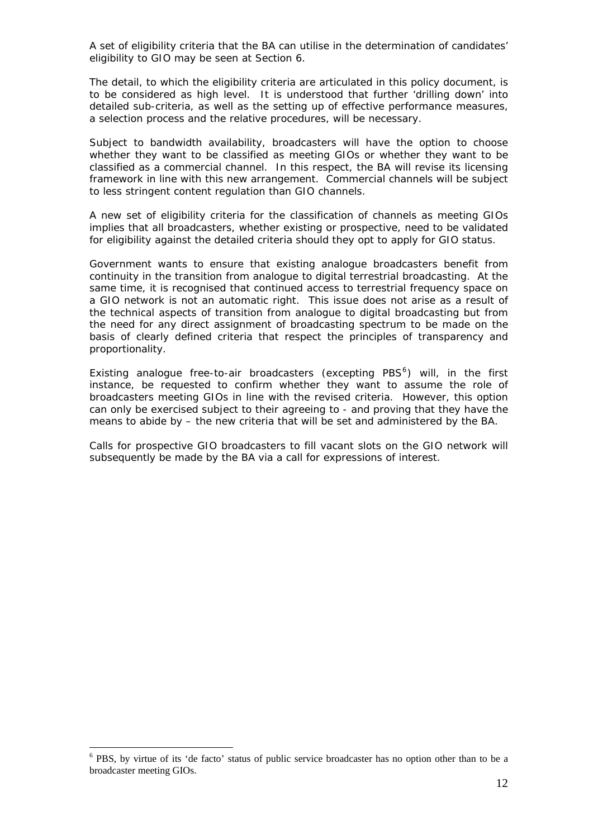A set of eligibility criteria that the BA can utilise in the determination of candidates' eligibility to GIO may be seen at Section 6.

The detail, to which the eligibility criteria are articulated in this policy document, is to be considered as high level. It is understood that further 'drilling down' into detailed sub-criteria, as well as the setting up of effective performance measures, a selection process and the relative procedures, will be necessary.

Subject to bandwidth availability, broadcasters will have the option to choose whether they want to be classified as meeting GIOs or whether they want to be classified as a commercial channel. In this respect, the BA will revise its licensing framework in line with this new arrangement. Commercial channels will be subject to less stringent content regulation than GIO channels.

A new set of eligibility criteria for the classification of channels as meeting GIOs implies that all broadcasters, whether existing or prospective, need to be validated for eligibility against the detailed criteria should they opt to apply for GIO status.

Government wants to ensure that existing analogue broadcasters benefit from continuity in the transition from analogue to digital terrestrial broadcasting. At the same time, it is recognised that continued access to terrestrial frequency space on a GIO network is not an automatic right. This issue does not arise as a result of the technical aspects of transition from analogue to digital broadcasting but from the need for any direct assignment of broadcasting spectrum to be made on the basis of clearly defined criteria that respect the principles of transparency and proportionality.

Existing analogue free-to-air broadcasters (excepting PBS $<sup>6</sup>$  $<sup>6</sup>$  $<sup>6</sup>$ ) will, in the first</sup> instance, be requested to confirm whether they want to assume the role of broadcasters meeting GIOs in line with the revised criteria. However, this option can only be exercised subject to their agreeing to - and proving that they have the means to abide by – the new criteria that will be set and administered by the BA.

Calls for prospective GIO broadcasters to fill vacant slots on the GIO network will subsequently be made by the BA via a call for expressions of interest.

 $\overline{a}$ 

<span id="page-11-0"></span><sup>&</sup>lt;sup>6</sup> PBS, by virtue of its 'de facto' status of public service broadcaster has no option other than to be a broadcaster meeting GIOs.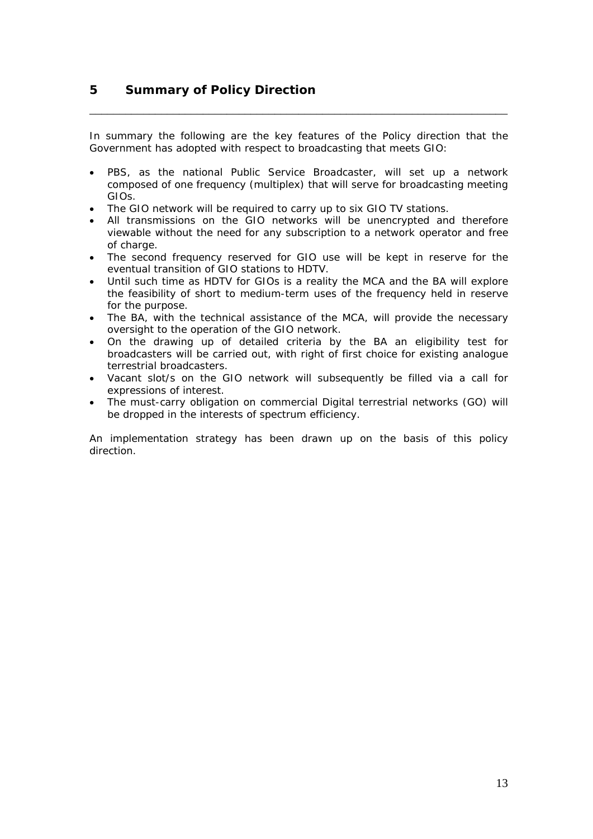In summary the following are the key features of the Policy direction that the Government has adopted with respect to broadcasting that meets GIO:

<span id="page-12-0"></span>\_\_\_\_\_\_\_\_\_\_\_\_\_\_\_\_\_\_\_\_\_\_\_\_\_\_\_\_\_\_\_\_\_\_\_\_\_\_\_\_\_\_\_\_\_\_\_\_\_\_\_\_\_\_\_\_\_\_\_\_\_\_\_\_\_\_\_\_\_\_

- PBS, as the national Public Service Broadcaster, will set up a network composed of one frequency (multiplex) that will serve for broadcasting meeting GIOs.
- The GIO network will be required to carry up to six GIO TV stations.
- All transmissions on the GIO networks will be unencrypted and therefore viewable without the need for any subscription to a network operator and free of charge.
- The second frequency reserved for GIO use will be kept in reserve for the eventual transition of GIO stations to HDTV.
- Until such time as HDTV for GIOs is a reality the MCA and the BA will explore the feasibility of short to medium-term uses of the frequency held in reserve for the purpose.
- The BA, with the technical assistance of the MCA, will provide the necessary oversight to the operation of the GIO network.
- On the drawing up of detailed criteria by the BA an eligibility test for broadcasters will be carried out, with right of first choice for existing analogue terrestrial broadcasters.
- Vacant slot/s on the GIO network will subsequently be filled via a call for expressions of interest.
- The must-carry obligation on commercial Digital terrestrial networks (GO) will be dropped in the interests of spectrum efficiency.

An implementation strategy has been drawn up on the basis of this policy direction.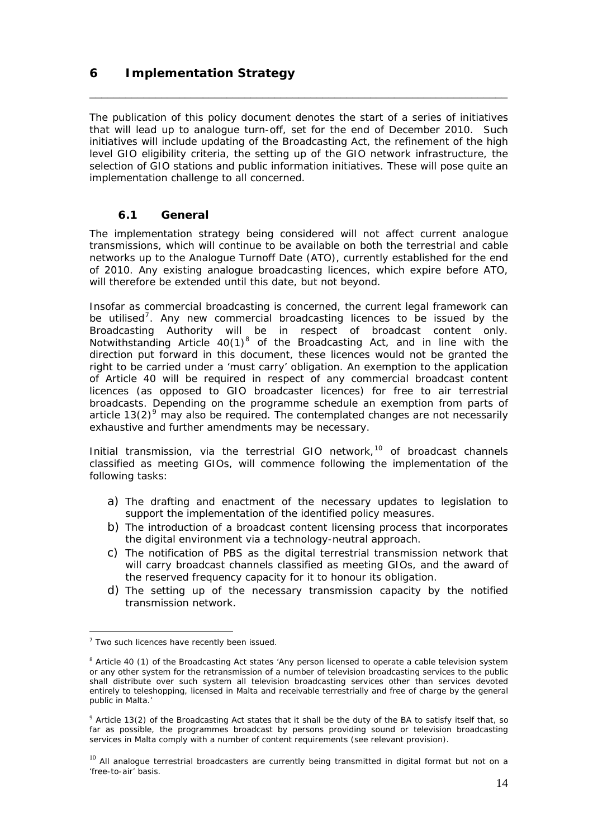# <span id="page-13-0"></span>**6 Implementation Strategy**

The publication of this policy document denotes the start of a series of initiatives that will lead up to analogue turn-off, set for the end of December 2010. Such initiatives will include updating of the Broadcasting Act, the refinement of the high level GIO eligibility criteria, the setting up of the GIO network infrastructure, the selection of GIO stations and public information initiatives. These will pose quite an implementation challenge to all concerned.

\_\_\_\_\_\_\_\_\_\_\_\_\_\_\_\_\_\_\_\_\_\_\_\_\_\_\_\_\_\_\_\_\_\_\_\_\_\_\_\_\_\_\_\_\_\_\_\_\_\_\_\_\_\_\_\_\_\_\_\_\_\_\_\_\_\_\_\_\_\_

### **6.1 General**

The implementation strategy being considered will not affect current analogue transmissions, which will continue to be available on both the terrestrial and cable networks up to the Analogue Turnoff Date (ATO), currently established for the end of 2010. Any existing analogue broadcasting licences, which expire before ATO, will therefore be extended until this date, but not beyond.

Insofar as commercial broadcasting is concerned, the current legal framework can be utilised<sup>[7](#page-13-1)</sup>. Any new commercial broadcasting licences to be issued by the Broadcasting Authority will be in respect of broadcast content only. Notwithstanding Article  $40(1)^8$  $40(1)^8$  of the Broadcasting Act, and in line with the direction put forward in this document, these licences would not be granted the right to be carried under a 'must carry' obligation. An exemption to the application of Article 40 will be required in respect of any commercial broadcast content licences (as opposed to GIO broadcaster licences) for free to air terrestrial broadcasts. Depending on the programme schedule an exemption from parts of article 13(2)<sup>[9](#page-13-3)</sup> may also be required. The contemplated changes are not necessarily exhaustive and further amendments may be necessary.

Initial transmission, via the terrestrial GIO network, $10$  of broadcast channels classified as meeting GIOs, will commence following the implementation of the following tasks:

- a) The drafting and enactment of the necessary updates to legislation to support the implementation of the identified policy measures.
- b) The introduction of a broadcast content licensing process that incorporates the digital environment via a technology-neutral approach.
- c) The notification of PBS as the digital terrestrial transmission network that will carry broadcast channels classified as meeting GIOs, and the award of the reserved frequency capacity for it to honour its obligation.
- d) The setting up of the necessary transmission capacity by the notified transmission network.

 $\overline{a}$ 

<span id="page-13-1"></span><sup>&</sup>lt;sup>7</sup> Two such licences have recently been issued.

<span id="page-13-2"></span><sup>&</sup>lt;sup>8</sup> Article 40 (1) of the Broadcasting Act states 'Any person licensed to operate a cable television system or any other system for the retransmission of a number of television broadcasting services to the public shall distribute over such system all television broadcasting services other than services devoted entirely to teleshopping, licensed in Malta and receivable terrestrially and free of charge by the general public in Malta.'

<span id="page-13-3"></span><sup>&</sup>lt;sup>9</sup> Article 13(2) of the Broadcasting Act states that it shall be the duty of the BA to satisfy itself that, so far as possible, the programmes broadcast by persons providing sound or television broadcasting services in Malta comply with a number of content requirements (see relevant provision).

<span id="page-13-4"></span> $10$  All analoque terrestrial broadcasters are currently being transmitted in digital format but not on a 'free-to-air' basis.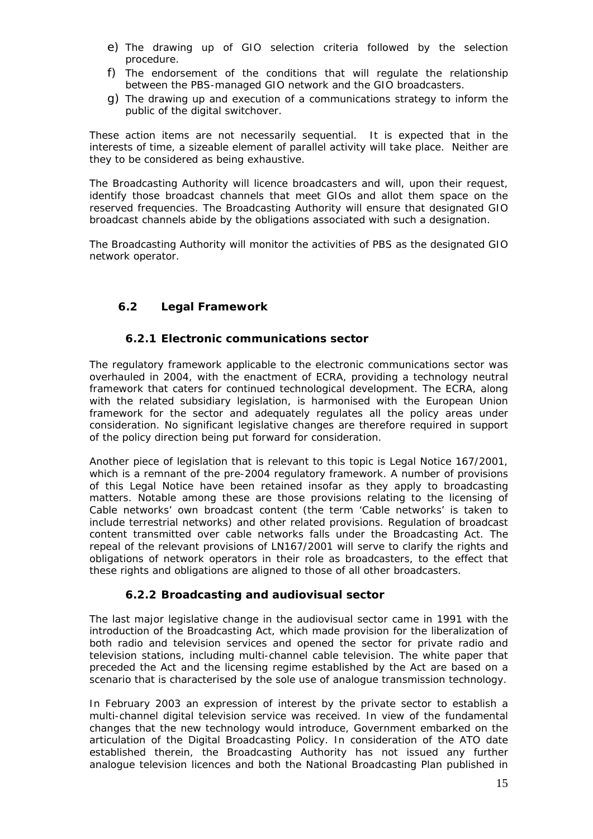- <span id="page-14-0"></span>e) The drawing up of GIO selection criteria followed by the selection procedure.
- f) The endorsement of the conditions that will regulate the relationship between the PBS-managed GIO network and the GIO broadcasters.
- g) The drawing up and execution of a communications strategy to inform the public of the digital switchover.

These action items are not necessarily sequential. It is expected that in the interests of time, a sizeable element of parallel activity will take place. Neither are they to be considered as being exhaustive.

The Broadcasting Authority will licence broadcasters and will, upon their request, identify those broadcast channels that meet GIOs and allot them space on the reserved frequencies. The Broadcasting Authority will ensure that designated GIO broadcast channels abide by the obligations associated with such a designation.

The Broadcasting Authority will monitor the activities of PBS as the designated GIO network operator.

### **6.2 Legal Framework**

#### **6.2.1 Electronic communications sector**

The regulatory framework applicable to the electronic communications sector was overhauled in 2004, with the enactment of ECRA, providing a technology neutral framework that caters for continued technological development. The ECRA, along with the related subsidiary legislation, is harmonised with the European Union framework for the sector and adequately regulates all the policy areas under consideration. No significant legislative changes are therefore required in support of the policy direction being put forward for consideration.

Another piece of legislation that is relevant to this topic is Legal Notice 167/2001, which is a remnant of the pre-2004 regulatory framework. A number of provisions of this Legal Notice have been retained insofar as they apply to broadcasting matters. Notable among these are those provisions relating to the licensing of Cable networks' own broadcast content (the term 'Cable networks' is taken to include terrestrial networks) and other related provisions. Regulation of broadcast content transmitted over cable networks falls under the Broadcasting Act. The repeal of the relevant provisions of LN167/2001 will serve to clarify the rights and obligations of network operators in their role as broadcasters, to the effect that these rights and obligations are aligned to those of all other broadcasters.

#### **6.2.2 Broadcasting and audiovisual sector**

The last major legislative change in the audiovisual sector came in 1991 with the introduction of the Broadcasting Act, which made provision for the liberalization of both radio and television services and opened the sector for private radio and television stations, including multi-channel cable television. The white paper that preceded the Act and the licensing regime established by the Act are based on a scenario that is characterised by the sole use of analogue transmission technology.

In February 2003 an expression of interest by the private sector to establish a multi-channel digital television service was received. In view of the fundamental changes that the new technology would introduce, Government embarked on the articulation of the Digital Broadcasting Policy. In consideration of the ATO date established therein, the Broadcasting Authority has not issued any further analogue television licences and both the National Broadcasting Plan published in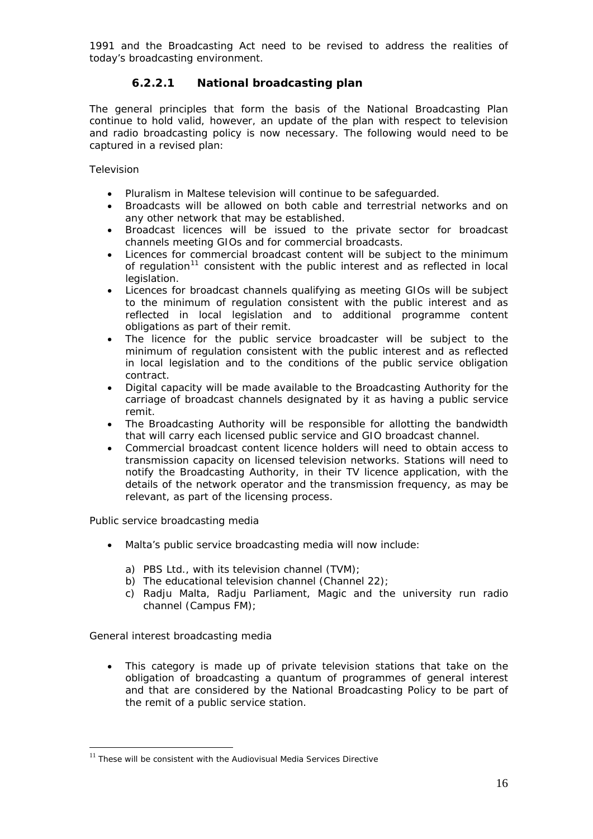<span id="page-15-0"></span>1991 and the Broadcasting Act need to be revised to address the realities of today's broadcasting environment.

## **6.2.2.1 National broadcasting plan**

The general principles that form the basis of the National Broadcasting Plan continue to hold valid, however, an update of the plan with respect to television and radio broadcasting policy is now necessary. The following would need to be captured in a revised plan:

### *Television*

- Pluralism in Maltese television will continue to be safeguarded.
- Broadcasts will be allowed on both cable and terrestrial networks and on any other network that may be established.
- Broadcast licences will be issued to the private sector for broadcast channels meeting GIOs and for commercial broadcasts.
- Licences for commercial broadcast content will be subject to the minimum of regulation<sup>[11](#page-15-1)</sup> consistent with the public interest and as reflected in local legislation.
- Licences for broadcast channels qualifying as meeting GIOs will be subject to the minimum of regulation consistent with the public interest and as reflected in local legislation and to additional programme content obligations as part of their remit.
- The licence for the public service broadcaster will be subject to the minimum of regulation consistent with the public interest and as reflected in local legislation and to the conditions of the public service obligation contract.
- Digital capacity will be made available to the Broadcasting Authority for the carriage of broadcast channels designated by it as having a public service remit.
- The Broadcasting Authority will be responsible for allotting the bandwidth that will carry each licensed public service and GIO broadcast channel.
- Commercial broadcast content licence holders will need to obtain access to transmission capacity on licensed television networks. Stations will need to notify the Broadcasting Authority, in their TV licence application, with the details of the network operator and the transmission frequency, as may be relevant, as part of the licensing process.

#### *Public service broadcasting media*

- Malta's public service broadcasting media will now include:
	- a) PBS Ltd., with its television channel (TVM);
	- b) The educational television channel (Channel 22);
	- c) Radju Malta, Radju Parliament, Magic and the university run radio channel (Campus FM);

#### *General interest broadcasting media*

 $\overline{a}$ 

• This category is made up of private television stations that take on the obligation of broadcasting a quantum of programmes of general interest and that are considered by the National Broadcasting Policy to be part of the remit of a public service station.

<span id="page-15-1"></span> $11$  These will be consistent with the Audiovisual Media Services Directive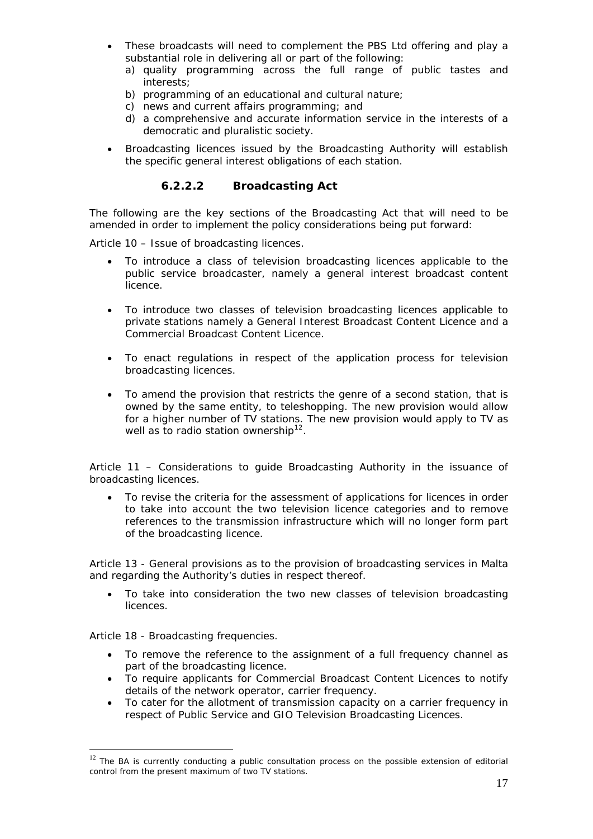- <span id="page-16-0"></span>• These broadcasts will need to complement the PBS Ltd offering and play a substantial role in delivering all or part of the following:
	- a) quality programming across the full range of public tastes and interests;
	- b) programming of an educational and cultural nature;
	- c) news and current affairs programming; and
	- d) a comprehensive and accurate information service in the interests of a democratic and pluralistic society.
- Broadcasting licences issued by the Broadcasting Authority will establish the specific general interest obligations of each station.

### **6.2.2.2 Broadcasting Act**

The following are the key sections of the Broadcasting Act that will need to be amended in order to implement the policy considerations being put forward:

*Article 10 – Issue of broadcasting licences.* 

- To introduce a class of television broadcasting licences applicable to the public service broadcaster, namely a general interest broadcast content licence.
- To introduce two classes of television broadcasting licences applicable to private stations namely a General Interest Broadcast Content Licence and a Commercial Broadcast Content Licence.
- To enact regulations in respect of the application process for television broadcasting licences.
- To amend the provision that restricts the genre of a second station, that is owned by the same entity, to teleshopping. The new provision would allow for a higher number of TV stations. The new provision would apply to TV as well as to radio station ownership<sup>[12](#page-16-1)</sup>.

#### *Article 11 – Considerations to guide Broadcasting Authority in the issuance of broadcasting licences.*

• To revise the criteria for the assessment of applications for licences in order to take into account the two television licence categories and to remove references to the transmission infrastructure which will no longer form part of the broadcasting licence.

*Article 13 - General provisions as to the provision of broadcasting services in Malta and regarding the Authority's duties in respect thereof.* 

• To take into consideration the two new classes of television broadcasting licences.

#### *Article 18 - Broadcasting frequencies.*

 $\overline{a}$ 

- To remove the reference to the assignment of a full frequency channel as part of the broadcasting licence.
- To require applicants for Commercial Broadcast Content Licences to notify details of the network operator, carrier frequency.
- To cater for the allotment of transmission capacity on a carrier frequency in respect of Public Service and GIO Television Broadcasting Licences.

<span id="page-16-1"></span> $12$  The BA is currently conducting a public consultation process on the possible extension of editorial control from the present maximum of two TV stations.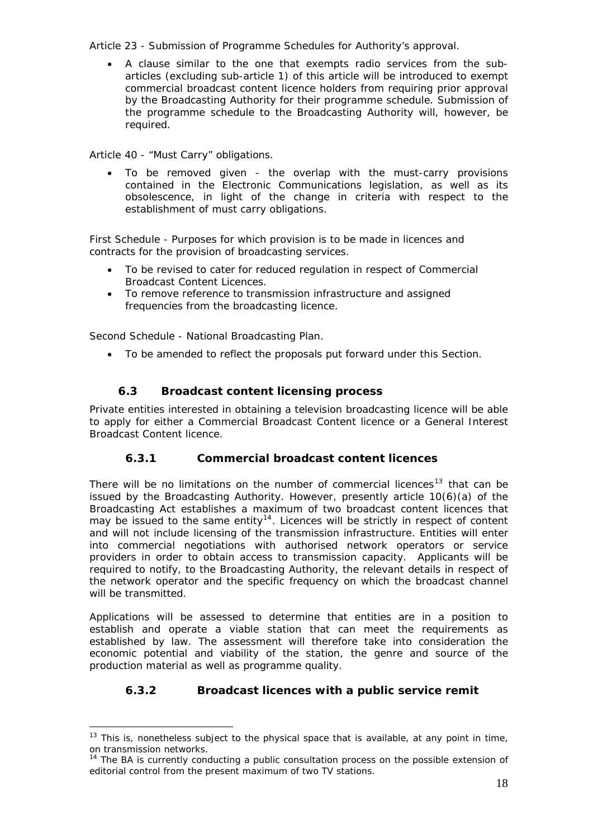#### <span id="page-17-0"></span>*Article 23 - Submission of Programme Schedules for Authority's approval.*

• A clause similar to the one that exempts radio services from the subarticles (excluding sub-article 1) of this article will be introduced to exempt commercial broadcast content licence holders from requiring prior approval by the Broadcasting Authority for their programme schedule. Submission of the programme schedule to the Broadcasting Authority will, however, be required.

#### *Article 40 - "Must Carry" obligations.*

• To be removed given - the overlap with the must-carry provisions contained in the Electronic Communications legislation, as well as its obsolescence, in light of the change in criteria with respect to the establishment of must carry obligations.

*First Schedule - Purposes for which provision is to be made in licences and contracts for the provision of broadcasting services.* 

- To be revised to cater for reduced regulation in respect of Commercial Broadcast Content Licences.
- To remove reference to transmission infrastructure and assigned frequencies from the broadcasting licence.

*Second Schedule - National Broadcasting Plan.* 

 $\overline{a}$ 

• To be amended to reflect the proposals put forward under this Section.

### **6.3 Broadcast content licensing process**

Private entities interested in obtaining a television broadcasting licence will be able to apply for either a Commercial Broadcast Content licence or a General Interest Broadcast Content licence.

### **6.3.1 Commercial broadcast content licences**

There will be no limitations on the number of commercial licences<sup>[13](#page-17-1)</sup> that can be issued by the Broadcasting Authority. However, presently article 10(6)(a) of the Broadcasting Act establishes a maximum of two broadcast content licences that may be issued to the same entity<sup>[14](#page-17-2)</sup>. Licences will be strictly in respect of content and will not include licensing of the transmission infrastructure. Entities will enter into commercial negotiations with authorised network operators or service providers in order to obtain access to transmission capacity. Applicants will be required to notify, to the Broadcasting Authority, the relevant details in respect of the network operator and the specific frequency on which the broadcast channel will be transmitted.

Applications will be assessed to determine that entities are in a position to establish and operate a viable station that can meet the requirements as established by law. The assessment will therefore take into consideration the economic potential and viability of the station, the genre and source of the production material as well as programme quality.

### **6.3.2 Broadcast licences with a public service remit**

<span id="page-17-1"></span> $13$  This is, nonetheless subject to the physical space that is available, at any point in time, on transmission networks.

<span id="page-17-2"></span><sup>&</sup>lt;sup>14</sup> The BA is currently conducting a public consultation process on the possible extension of editorial control from the present maximum of two TV stations.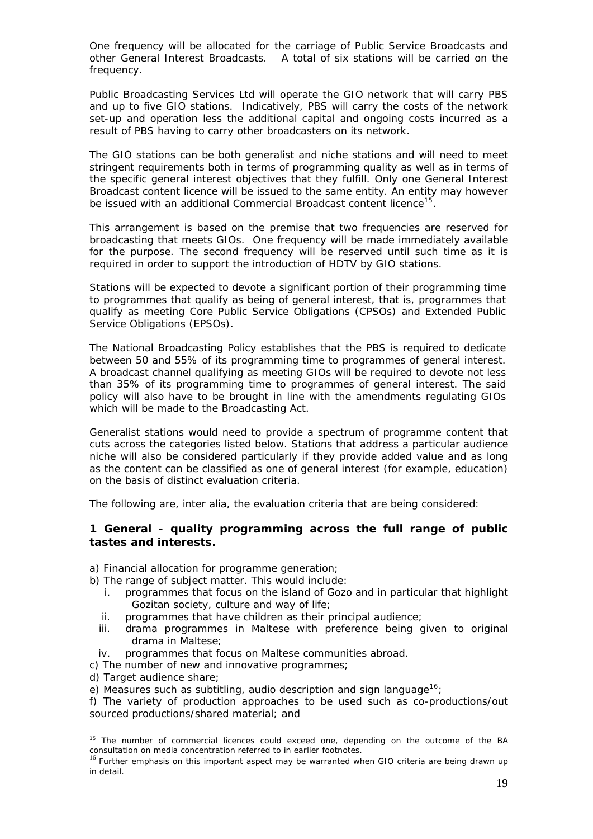One frequency will be allocated for the carriage of Public Service Broadcasts and other General Interest Broadcasts. A total of six stations will be carried on the frequency.

Public Broadcasting Services Ltd will operate the GIO network that will carry PBS and up to five GIO stations. Indicatively, PBS will carry the costs of the network set-up and operation less the additional capital and ongoing costs incurred as a result of PBS having to carry other broadcasters on its network.

The GIO stations can be both generalist and niche stations and will need to meet stringent requirements both in terms of programming quality as well as in terms of the specific general interest objectives that they fulfill. Only one General Interest Broadcast content licence will be issued to the same entity. An entity may however be issued with an additional Commercial Broadcast content licence<sup>[15](#page-18-0)</sup>.

This arrangement is based on the premise that two frequencies are reserved for broadcasting that meets GIOs. One frequency will be made immediately available for the purpose. The second frequency will be reserved until such time as it is required in order to support the introduction of HDTV by GIO stations.

Stations will be expected to devote a significant portion of their programming time to programmes that qualify as being of general interest, that is, programmes that qualify as meeting Core Public Service Obligations (CPSOs) and Extended Public Service Obligations (EPSOs).

The National Broadcasting Policy establishes that the PBS is required to dedicate between 50 and 55% of its programming time to programmes of general interest. A broadcast channel qualifying as meeting GIOs will be required to devote not less than 35% of its programming time to programmes of general interest. The said policy will also have to be brought in line with the amendments regulating GIOs which will be made to the Broadcasting Act.

Generalist stations would need to provide a spectrum of programme content that cuts across the categories listed below. Stations that address a particular audience niche will also be considered particularly if they provide added value and as long as the content can be classified as one of general interest (for example, education) on the basis of distinct evaluation criteria.

The following are, inter alia, the evaluation criteria that are being considered:

### **1 General - quality programming across the full range of public tastes and interests.**

- a) Financial allocation for programme generation;
- b) The range of subject matter. This would include:
	- i. programmes that focus on the island of Gozo and in particular that highlight Gozitan society, culture and way of life;
	- ii. programmes that have children as their principal audience;
	- iii. drama programmes in Maltese with preference being given to original drama in Maltese;
	- iv. programmes that focus on Maltese communities abroad.
- c) The number of new and innovative programmes;
- d) Target audience share;

 $\overline{a}$ 

e) Measures such as subtitling, audio description and sign language<sup>[16](#page-18-1)</sup>;

f) The variety of production approaches to be used such as co-productions/out sourced productions/shared material; and

<span id="page-18-0"></span> $15$  The number of commercial licences could exceed one, depending on the outcome of the BA consultation on media concentration referred to in earlier footnotes.

<span id="page-18-1"></span><sup>&</sup>lt;sup>16</sup> Further emphasis on this important aspect may be warranted when GIO criteria are being drawn up in detail.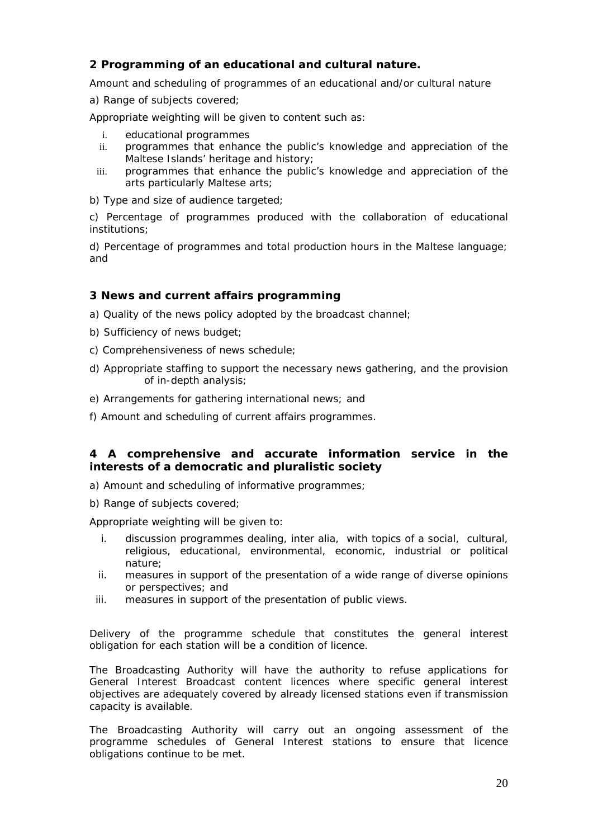# **2 Programming of an educational and cultural nature.**

Amount and scheduling of programmes of an educational and/or cultural nature

a) Range of subjects covered;

Appropriate weighting will be given to content such as:

- i. educational programmes
- ii. programmes that enhance the public's knowledge and appreciation of the Maltese Islands' heritage and history;
- iii. programmes that enhance the public's knowledge and appreciation of the arts particularly Maltese arts;

b) Type and size of audience targeted;

c) Percentage of programmes produced with the collaboration of educational institutions;

d) Percentage of programmes and total production hours in the Maltese language; and

### **3 News and current affairs programming**

- a) Quality of the news policy adopted by the broadcast channel;
- b) Sufficiency of news budget;
- c) Comprehensiveness of news schedule;
- d) Appropriate staffing to support the necessary news gathering, and the provision of in-depth analysis;
- e) Arrangements for gathering international news; and
- f) Amount and scheduling of current affairs programmes.

### **4 A comprehensive and accurate information service in the interests of a democratic and pluralistic society**

- a) Amount and scheduling of informative programmes;
- b) Range of subjects covered;

Appropriate weighting will be given to:

- i. discussion programmes dealing, inter alia, with topics of a social, cultural, religious, educational, environmental, economic, industrial or political nature;
- ii. measures in support of the presentation of a wide range of diverse opinions or perspectives; and
- iii. measures in support of the presentation of public views.

Delivery of the programme schedule that constitutes the general interest obligation for each station will be a condition of licence.

The Broadcasting Authority will have the authority to refuse applications for General Interest Broadcast content licences where specific general interest objectives are adequately covered by already licensed stations even if transmission capacity is available.

The Broadcasting Authority will carry out an ongoing assessment of the programme schedules of General Interest stations to ensure that licence obligations continue to be met.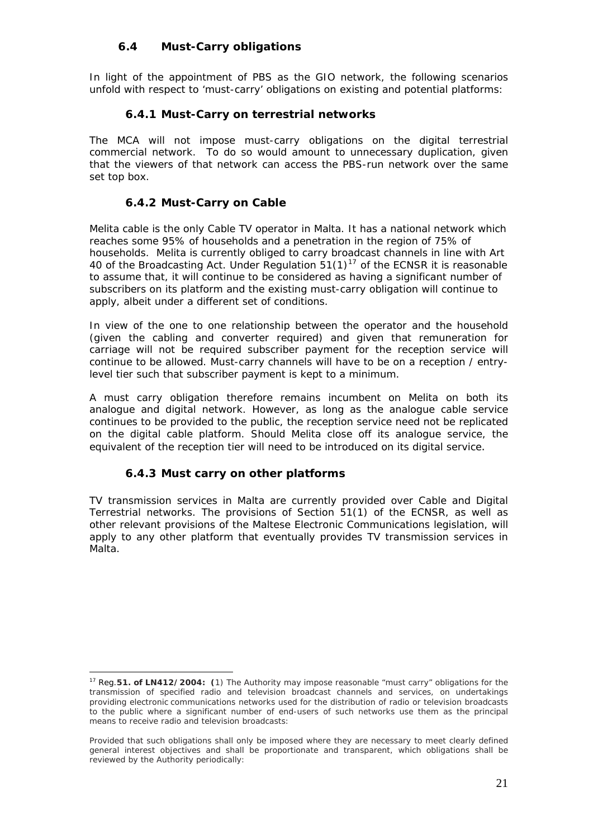# **6.4 Must-Carry obligations**

<span id="page-20-0"></span>In light of the appointment of PBS as the GIO network, the following scenarios unfold with respect to 'must-carry' obligations on existing and potential platforms:

### **6.4.1 Must-Carry on terrestrial networks**

The MCA will not impose must-carry obligations on the digital terrestrial commercial network. To do so would amount to unnecessary duplication, given that the viewers of that network can access the PBS-run network over the same set top box.

### **6.4.2 Must-Carry on Cable**

Melita cable is the only Cable TV operator in Malta. It has a national network which reaches some 95% of households and a penetration in the region of 75% of households. Melita is currently obliged to carry broadcast channels in line with Art 40 of the Broadcasting Act. Under Regulation  $51(1)^{17}$  $51(1)^{17}$  $51(1)^{17}$  of the ECNSR it is reasonable to assume that, it will continue to be considered as having a significant number of subscribers on its platform and the existing must-carry obligation will continue to apply, albeit under a different set of conditions.

In view of the one to one relationship between the operator and the household (given the cabling and converter required) and given that remuneration for carriage will not be required subscriber payment for the reception service will continue to be allowed. Must-carry channels will have to be on a reception / entrylevel tier such that subscriber payment is kept to a minimum.

A must carry obligation therefore remains incumbent on Melita on both its analogue and digital network. However, as long as the analogue cable service continues to be provided to the public, the reception service need not be replicated on the digital cable platform. Should Melita close off its analogue service, the equivalent of the reception tier will need to be introduced on its digital service.

### **6.4.3 Must carry on other platforms**

TV transmission services in Malta are currently provided over Cable and Digital Terrestrial networks. The provisions of Section 51(1) of the ECNSR, as well as other relevant provisions of the Maltese Electronic Communications legislation, will apply to any other platform that eventually provides TV transmission services in Malta.

<span id="page-20-1"></span> $\overline{a}$ 17 Reg.**51. of LN412/2004: (**1) The Authority may impose reasonable "must carry" obligations for the transmission of specified radio and television broadcast channels and services, on undertakings providing electronic communications networks used for the distribution of radio or television broadcasts to the public where a significant number of end-users of such networks use them as the principal means to receive radio and television broadcasts:

Provided that such obligations shall only be imposed where they are necessary to meet clearly defined general interest objectives and shall be proportionate and transparent, which obligations shall be reviewed by the Authority periodically: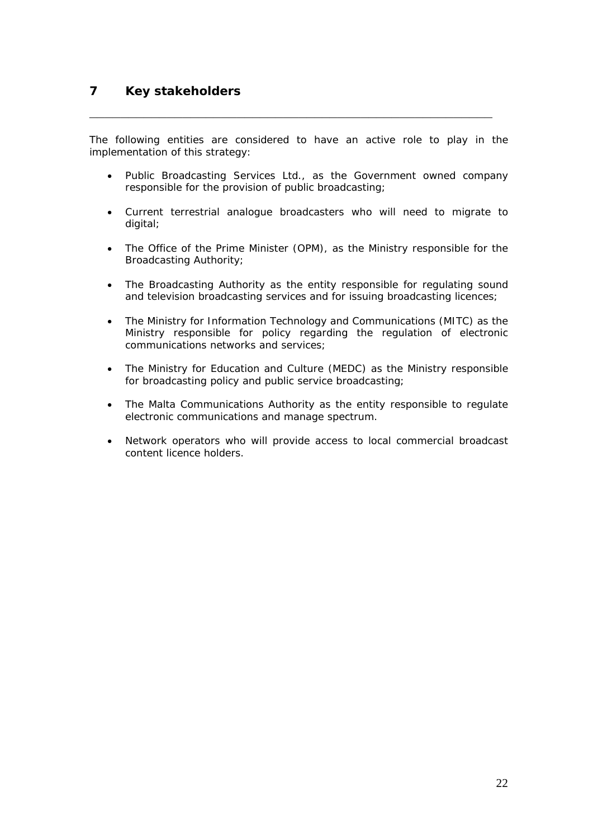The following entities are considered to have an active role to play in the implementation of this strategy:

<span id="page-21-0"></span>**\_\_\_\_\_\_\_\_\_\_\_\_\_\_\_\_\_\_\_\_\_\_\_\_\_\_\_\_\_\_\_\_\_\_\_\_\_\_\_\_\_\_\_\_\_\_\_\_\_\_\_\_** 

- Public Broadcasting Services Ltd., as the Government owned company responsible for the provision of public broadcasting;
- Current terrestrial analogue broadcasters who will need to migrate to digital;
- The Office of the Prime Minister (OPM), as the Ministry responsible for the Broadcasting Authority;
- The Broadcasting Authority as the entity responsible for regulating sound and television broadcasting services and for issuing broadcasting licences;
- The Ministry for Information Technology and Communications (MITC) as the Ministry responsible for policy regarding the regulation of electronic communications networks and services;
- The Ministry for Education and Culture (MEDC) as the Ministry responsible for broadcasting policy and public service broadcasting;
- The Malta Communications Authority as the entity responsible to regulate electronic communications and manage spectrum.
- Network operators who will provide access to local commercial broadcast content licence holders.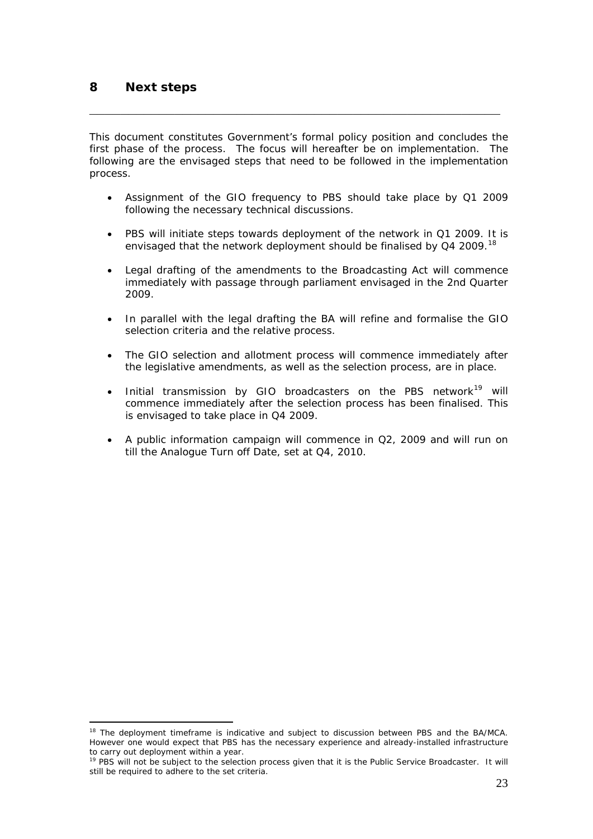$\overline{a}$ 

This document constitutes Government's formal policy position and concludes the first phase of the process. The focus will hereafter be on implementation. The following are the envisaged steps that need to be followed in the implementation process.

<span id="page-22-0"></span>**\_\_\_\_\_\_\_\_\_\_\_\_\_\_\_\_\_\_\_\_\_\_\_\_\_\_\_\_\_\_\_\_\_\_\_\_\_\_\_\_\_\_\_\_\_\_\_\_\_\_\_\_\_** 

- Assignment of the GIO frequency to PBS should take place by Q1 2009 following the necessary technical discussions.
- PBS will initiate steps towards deployment of the network in Q1 2009. It is envisaged that the network deployment should be finalised by Q4 2009.<sup>[18](#page-22-1)</sup>
- Legal drafting of the amendments to the Broadcasting Act will commence immediately with passage through parliament envisaged in the 2nd Quarter 2009.
- In parallel with the legal drafting the BA will refine and formalise the GIO selection criteria and the relative process.
- The GIO selection and allotment process will commence immediately after the legislative amendments, as well as the selection process, are in place.
- Initial transmission by GIO broadcasters on the PBS network<sup>[19](#page-22-2)</sup> will commence immediately after the selection process has been finalised. This is envisaged to take place in Q4 2009.
- A public information campaign will commence in Q2, 2009 and will run on till the Analogue Turn off Date, set at Q4, 2010.

<span id="page-22-1"></span><sup>&</sup>lt;sup>18</sup> The deployment timeframe is indicative and subject to discussion between PBS and the BA/MCA. However one would expect that PBS has the necessary experience and already-installed infrastructure to carry out deployment within a year.

<span id="page-22-2"></span><sup>&</sup>lt;sup>19</sup> PBS will not be subject to the selection process given that it is the Public Service Broadcaster. It will still be required to adhere to the set criteria.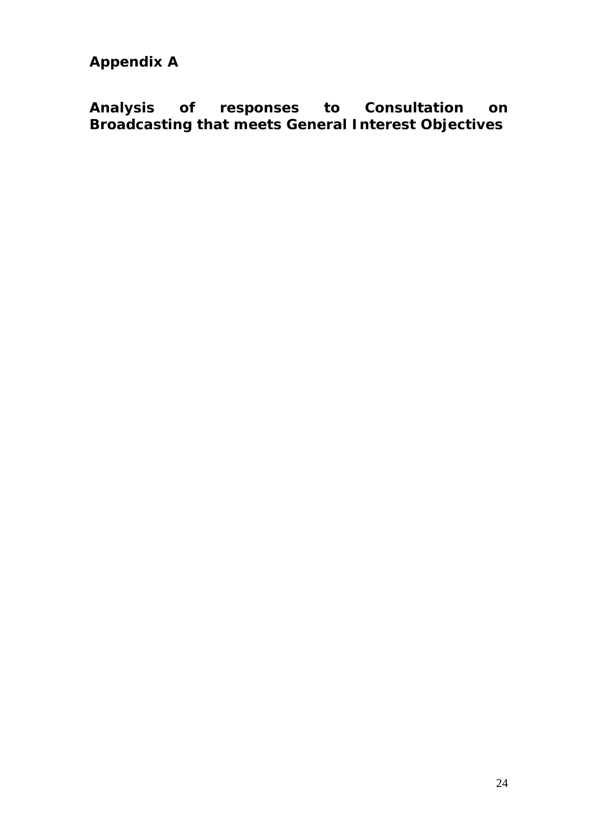<span id="page-23-0"></span>**Appendix A** 

**Analysis of responses to Consultation on Broadcasting that meets General Interest Objectives**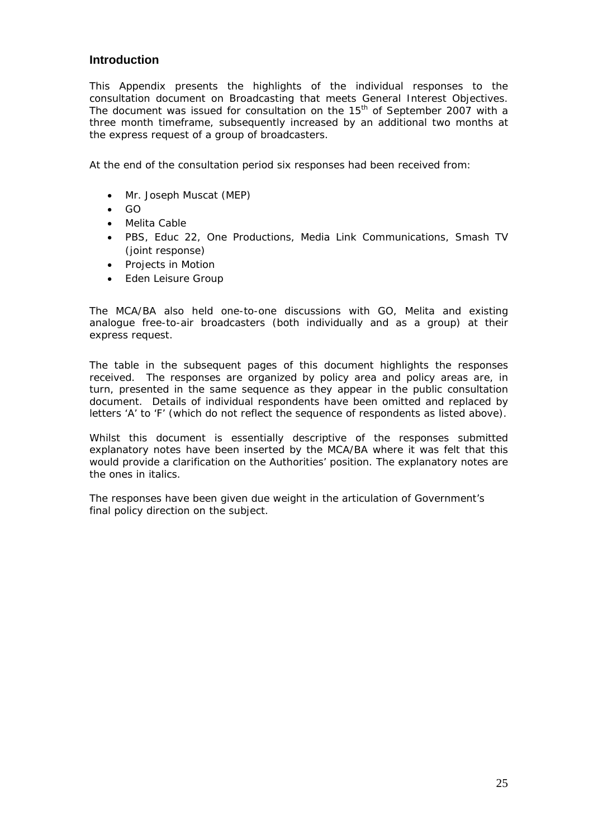### **Introduction**

This Appendix presents the highlights of the individual responses to the consultation document on Broadcasting that meets General Interest Objectives. The document was issued for consultation on the  $15<sup>th</sup>$  of September 2007 with a three month timeframe, subsequently increased by an additional two months at the express request of a group of broadcasters.

At the end of the consultation period six responses had been received from:

- Mr. Joseph Muscat (MEP)
- GO
- Melita Cable
- PBS, Educ 22, One Productions, Media Link Communications, Smash TV (joint response)
- Projects in Motion
- Eden Leisure Group

The MCA/BA also held one-to-one discussions with GO, Melita and existing analogue free-to-air broadcasters (both individually and as a group) at their express request.

The table in the subsequent pages of this document highlights the responses received. The responses are organized by policy area and policy areas are, in turn, presented in the same sequence as they appear in the public consultation document. Details of individual respondents have been omitted and replaced by letters 'A' to 'F' (which do not reflect the sequence of respondents as listed above).

Whilst this document is essentially descriptive of the responses submitted explanatory notes have been inserted by the MCA/BA where it was felt that this would provide a clarification on the Authorities' position. The explanatory notes are the ones in italics.

The responses have been given due weight in the articulation of Government's final policy direction on the subject.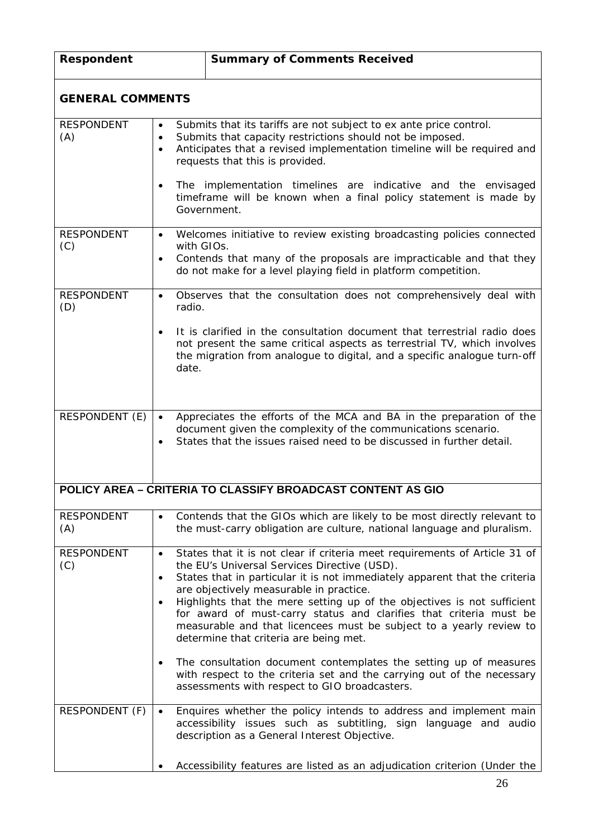| Respondent                                 |                             | <b>Summary of Comments Received</b>                                                                                                                                                                                                                                                                                                                                                                                                                                                                                                                                                                                                                                                                                                                                                        |  |  |  |
|--------------------------------------------|-----------------------------|--------------------------------------------------------------------------------------------------------------------------------------------------------------------------------------------------------------------------------------------------------------------------------------------------------------------------------------------------------------------------------------------------------------------------------------------------------------------------------------------------------------------------------------------------------------------------------------------------------------------------------------------------------------------------------------------------------------------------------------------------------------------------------------------|--|--|--|
| <b>GENERAL COMMENTS</b>                    |                             |                                                                                                                                                                                                                                                                                                                                                                                                                                                                                                                                                                                                                                                                                                                                                                                            |  |  |  |
| <b>RESPONDENT</b><br>(A)                   | $\bullet$<br>$\bullet$      | Submits that its tariffs are not subject to ex ante price control.<br>Submits that capacity restrictions should not be imposed.<br>Anticipates that a revised implementation timeline will be required and<br>requests that this is provided.<br>The implementation timelines are indicative and the envisaged<br>timeframe will be known when a final policy statement is made by<br>Government.                                                                                                                                                                                                                                                                                                                                                                                          |  |  |  |
| <b>RESPONDENT</b><br>(C)                   | with GIOs.<br>$\bullet$     | Welcomes initiative to review existing broadcasting policies connected<br>Contends that many of the proposals are impracticable and that they<br>do not make for a level playing field in platform competition.                                                                                                                                                                                                                                                                                                                                                                                                                                                                                                                                                                            |  |  |  |
| <b>RESPONDENT</b><br>(D)                   | $\bullet$<br>radio.         | Observes that the consultation does not comprehensively deal with                                                                                                                                                                                                                                                                                                                                                                                                                                                                                                                                                                                                                                                                                                                          |  |  |  |
|                                            | date.                       | It is clarified in the consultation document that terrestrial radio does<br>not present the same critical aspects as terrestrial TV, which involves<br>the migration from analogue to digital, and a specific analogue turn-off                                                                                                                                                                                                                                                                                                                                                                                                                                                                                                                                                            |  |  |  |
| RESPONDENT (E)                             | $\bullet$                   | Appreciates the efforts of the MCA and BA in the preparation of the<br>document given the complexity of the communications scenario.<br>States that the issues raised need to be discussed in further detail.                                                                                                                                                                                                                                                                                                                                                                                                                                                                                                                                                                              |  |  |  |
|                                            |                             | <b>POLICY AREA - CRITERIA TO CLASSIFY BROADCAST CONTENT AS GIO</b>                                                                                                                                                                                                                                                                                                                                                                                                                                                                                                                                                                                                                                                                                                                         |  |  |  |
| <b>RESPONDENT</b><br>(A)                   | $\bullet$                   | Contends that the GIOs which are likely to be most directly relevant to<br>the must-carry obligation are culture, national language and pluralism.                                                                                                                                                                                                                                                                                                                                                                                                                                                                                                                                                                                                                                         |  |  |  |
| <b>RESPONDENT</b><br>(C)<br>RESPONDENT (F) | $\bullet$<br>٠<br>$\bullet$ | States that it is not clear if criteria meet requirements of Article 31 of<br>the EU's Universal Services Directive (USD).<br>States that in particular it is not immediately apparent that the criteria<br>are objectively measurable in practice.<br>Highlights that the mere setting up of the objectives is not sufficient<br>for award of must-carry status and clarifies that criteria must be<br>measurable and that licencees must be subject to a yearly review to<br>determine that criteria are being met.<br>The consultation document contemplates the setting up of measures<br>with respect to the criteria set and the carrying out of the necessary<br>assessments with respect to GIO broadcasters.<br>Enquires whether the policy intends to address and implement main |  |  |  |
|                                            |                             | accessibility issues such as subtitling, sign language and audio<br>description as a General Interest Objective.<br>Accessibility features are listed as an adjudication criterion (Under the                                                                                                                                                                                                                                                                                                                                                                                                                                                                                                                                                                                              |  |  |  |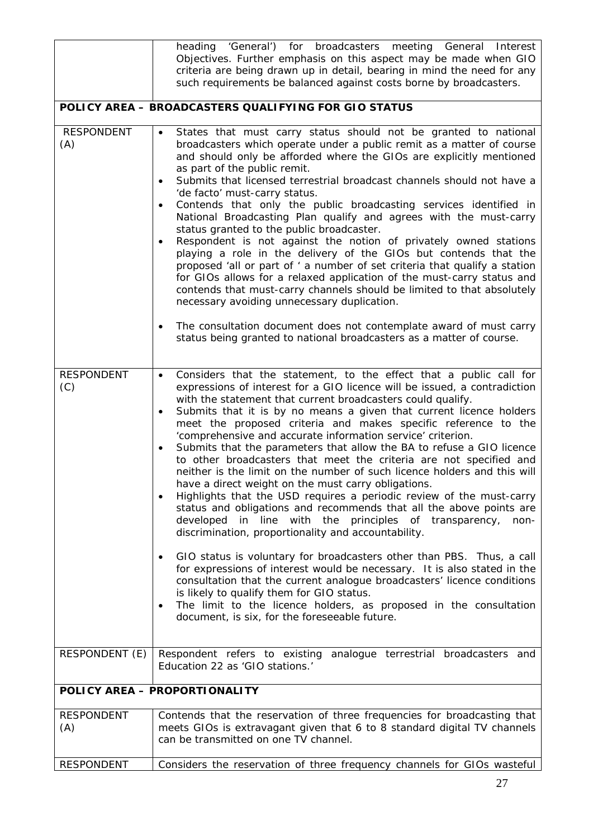|                          | heading 'General') for broadcasters meeting General Interest<br>Objectives. Further emphasis on this aspect may be made when GIO<br>criteria are being drawn up in detail, bearing in mind the need for any<br>such requirements be balanced against costs borne by broadcasters.                                                                                                                                                                                                                                                                                                                                                                                                                                                                                                                                                                                                                                                                                                                                                                                                                                                                                                                                                                                                                                                                                                                                                                    |
|--------------------------|------------------------------------------------------------------------------------------------------------------------------------------------------------------------------------------------------------------------------------------------------------------------------------------------------------------------------------------------------------------------------------------------------------------------------------------------------------------------------------------------------------------------------------------------------------------------------------------------------------------------------------------------------------------------------------------------------------------------------------------------------------------------------------------------------------------------------------------------------------------------------------------------------------------------------------------------------------------------------------------------------------------------------------------------------------------------------------------------------------------------------------------------------------------------------------------------------------------------------------------------------------------------------------------------------------------------------------------------------------------------------------------------------------------------------------------------------|
|                          | POLICY AREA - BROADCASTERS QUALIFYING FOR GIO STATUS                                                                                                                                                                                                                                                                                                                                                                                                                                                                                                                                                                                                                                                                                                                                                                                                                                                                                                                                                                                                                                                                                                                                                                                                                                                                                                                                                                                                 |
| <b>RESPONDENT</b><br>(A) | States that must carry status should not be granted to national<br>$\bullet$<br>broadcasters which operate under a public remit as a matter of course<br>and should only be afforded where the GIOs are explicitly mentioned<br>as part of the public remit.<br>Submits that licensed terrestrial broadcast channels should not have a<br>$\bullet$<br>'de facto' must-carry status.<br>Contends that only the public broadcasting services identified in<br>$\bullet$<br>National Broadcasting Plan qualify and agrees with the must-carry<br>status granted to the public broadcaster.<br>Respondent is not against the notion of privately owned stations<br>$\bullet$<br>playing a role in the delivery of the GIOs but contends that the<br>proposed 'all or part of ' a number of set criteria that qualify a station<br>for GIOs allows for a relaxed application of the must-carry status and<br>contends that must-carry channels should be limited to that absolutely<br>necessary avoiding unnecessary duplication.<br>The consultation document does not contemplate award of must carry<br>$\bullet$<br>status being granted to national broadcasters as a matter of course.                                                                                                                                                                                                                                                            |
| <b>RESPONDENT</b><br>(C) | Considers that the statement, to the effect that a public call for<br>$\bullet$<br>expressions of interest for a GIO licence will be issued, a contradiction<br>with the statement that current broadcasters could qualify.<br>Submits that it is by no means a given that current licence holders<br>$\bullet$<br>meet the proposed criteria and makes specific reference to the<br>'comprehensive and accurate information service' criterion.<br>Submits that the parameters that allow the BA to refuse a GIO licence<br>$\bullet$<br>to other broadcasters that meet the criteria are not specified and<br>neither is the limit on the number of such licence holders and this will<br>have a direct weight on the must carry obligations.<br>Highlights that the USD requires a periodic review of the must-carry<br>$\bullet$<br>status and obligations and recommends that all the above points are<br>developed in line with the principles of transparency,<br>non-<br>discrimination, proportionality and accountability.<br>GIO status is voluntary for broadcasters other than PBS. Thus, a call<br>for expressions of interest would be necessary. It is also stated in the<br>consultation that the current analogue broadcasters' licence conditions<br>is likely to qualify them for GIO status.<br>The limit to the licence holders, as proposed in the consultation<br>$\bullet$<br>document, is six, for the foreseeable future. |
| RESPONDENT (E)           | Respondent refers to existing analogue terrestrial broadcasters and<br>Education 22 as 'GIO stations.'                                                                                                                                                                                                                                                                                                                                                                                                                                                                                                                                                                                                                                                                                                                                                                                                                                                                                                                                                                                                                                                                                                                                                                                                                                                                                                                                               |
|                          | POLICY AREA - PROPORTIONALITY                                                                                                                                                                                                                                                                                                                                                                                                                                                                                                                                                                                                                                                                                                                                                                                                                                                                                                                                                                                                                                                                                                                                                                                                                                                                                                                                                                                                                        |
| <b>RESPONDENT</b><br>(A) | Contends that the reservation of three frequencies for broadcasting that<br>meets GIOs is extravagant given that 6 to 8 standard digital TV channels<br>can be transmitted on one TV channel.                                                                                                                                                                                                                                                                                                                                                                                                                                                                                                                                                                                                                                                                                                                                                                                                                                                                                                                                                                                                                                                                                                                                                                                                                                                        |
| <b>RESPONDENT</b>        | Considers the reservation of three frequency channels for GIOs wasteful                                                                                                                                                                                                                                                                                                                                                                                                                                                                                                                                                                                                                                                                                                                                                                                                                                                                                                                                                                                                                                                                                                                                                                                                                                                                                                                                                                              |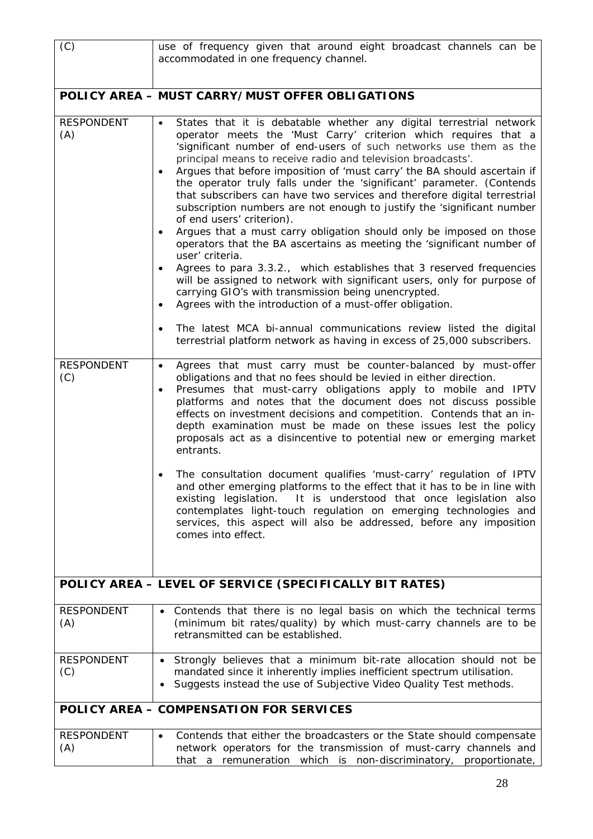| (C)                      | use of frequency given that around eight broadcast channels can be<br>accommodated in one frequency channel.                                                                                                                                                                                                                                                                                                                                                                                                                                                                                                                                                                                                                                                                                                                                                                                                                                                                                                                                                                                                                                                                                                                                                                        |
|--------------------------|-------------------------------------------------------------------------------------------------------------------------------------------------------------------------------------------------------------------------------------------------------------------------------------------------------------------------------------------------------------------------------------------------------------------------------------------------------------------------------------------------------------------------------------------------------------------------------------------------------------------------------------------------------------------------------------------------------------------------------------------------------------------------------------------------------------------------------------------------------------------------------------------------------------------------------------------------------------------------------------------------------------------------------------------------------------------------------------------------------------------------------------------------------------------------------------------------------------------------------------------------------------------------------------|
|                          | POLICY AREA - MUST CARRY/MUST OFFER OBLIGATIONS                                                                                                                                                                                                                                                                                                                                                                                                                                                                                                                                                                                                                                                                                                                                                                                                                                                                                                                                                                                                                                                                                                                                                                                                                                     |
| <b>RESPONDENT</b><br>(A) | States that it is debatable whether any digital terrestrial network<br>$\bullet$<br>operator meets the 'Must Carry' criterion which requires that a<br>'significant number of end-users of such networks use them as the<br>principal means to receive radio and television broadcasts'.<br>Argues that before imposition of 'must carry' the BA should ascertain if<br>$\bullet$<br>the operator truly falls under the 'significant' parameter. (Contends<br>that subscribers can have two services and therefore digital terrestrial<br>subscription numbers are not enough to justify the 'significant number<br>of end users' criterion).<br>Argues that a must carry obligation should only be imposed on those<br>$\bullet$<br>operators that the BA ascertains as meeting the 'significant number of<br>user' criteria.<br>Agrees to para 3.3.2., which establishes that 3 reserved frequencies<br>$\bullet$<br>will be assigned to network with significant users, only for purpose of<br>carrying GIO's with transmission being unencrypted.<br>Agrees with the introduction of a must-offer obligation.<br>٠<br>The latest MCA bi-annual communications review listed the digital<br>$\bullet$<br>terrestrial platform network as having in excess of 25,000 subscribers. |
| <b>RESPONDENT</b><br>(C) | Agrees that must carry must be counter-balanced by must-offer<br>$\bullet$<br>obligations and that no fees should be levied in either direction.<br>Presumes that must-carry obligations apply to mobile and IPTV<br>٠<br>platforms and notes that the document does not discuss possible<br>effects on investment decisions and competition. Contends that an in-<br>depth examination must be made on these issues lest the policy<br>proposals act as a disincentive to potential new or emerging market<br>entrants.<br>The consultation document qualifies 'must-carry' regulation of IPTV<br>and other emerging platforms to the effect that it has to be in line with<br>It is understood that once legislation also<br>existing legislation.<br>contemplates light-touch regulation on emerging technologies and<br>services, this aspect will also be addressed, before any imposition<br>comes into effect.                                                                                                                                                                                                                                                                                                                                                               |
|                          | POLICY AREA - LEVEL OF SERVICE (SPECIFICALLY BIT RATES)                                                                                                                                                                                                                                                                                                                                                                                                                                                                                                                                                                                                                                                                                                                                                                                                                                                                                                                                                                                                                                                                                                                                                                                                                             |
| <b>RESPONDENT</b><br>(A) | Contends that there is no legal basis on which the technical terms<br>(minimum bit rates/quality) by which must-carry channels are to be<br>retransmitted can be established.                                                                                                                                                                                                                                                                                                                                                                                                                                                                                                                                                                                                                                                                                                                                                                                                                                                                                                                                                                                                                                                                                                       |
| <b>RESPONDENT</b><br>(C) | Strongly believes that a minimum bit-rate allocation should not be<br>$\bullet$<br>mandated since it inherently implies inefficient spectrum utilisation.<br>Suggests instead the use of Subjective Video Quality Test methods.                                                                                                                                                                                                                                                                                                                                                                                                                                                                                                                                                                                                                                                                                                                                                                                                                                                                                                                                                                                                                                                     |
|                          | POLICY AREA - COMPENSATION FOR SERVICES                                                                                                                                                                                                                                                                                                                                                                                                                                                                                                                                                                                                                                                                                                                                                                                                                                                                                                                                                                                                                                                                                                                                                                                                                                             |
| <b>RESPONDENT</b><br>(A) | Contends that either the broadcasters or the State should compensate<br>$\bullet$<br>network operators for the transmission of must-carry channels and<br>a remuneration which is non-discriminatory, proportionate,<br>that                                                                                                                                                                                                                                                                                                                                                                                                                                                                                                                                                                                                                                                                                                                                                                                                                                                                                                                                                                                                                                                        |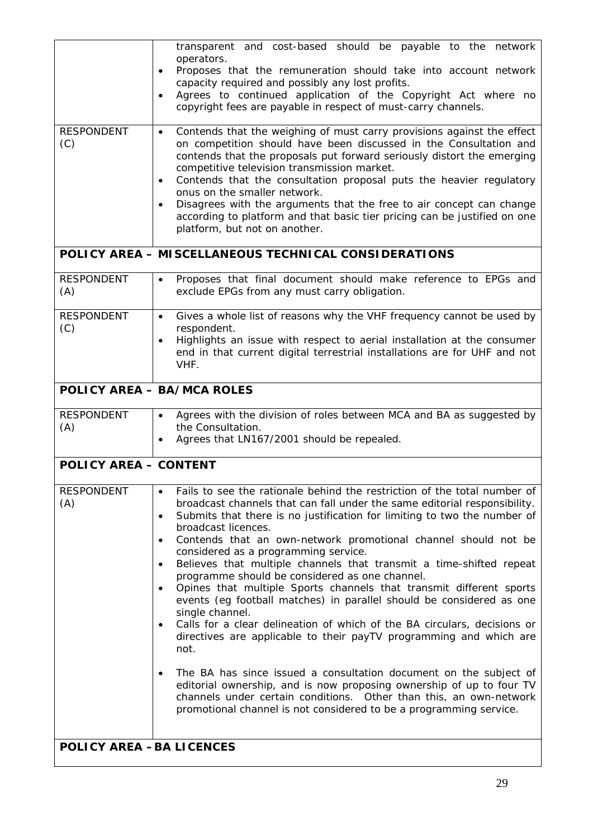|                                 | transparent and cost-based should be payable to the network<br>operators.                                                                                                                                                                                                                                                                                                                                                                                                                                                                                                                   |
|---------------------------------|---------------------------------------------------------------------------------------------------------------------------------------------------------------------------------------------------------------------------------------------------------------------------------------------------------------------------------------------------------------------------------------------------------------------------------------------------------------------------------------------------------------------------------------------------------------------------------------------|
|                                 | Proposes that the remuneration should take into account network<br>$\bullet$                                                                                                                                                                                                                                                                                                                                                                                                                                                                                                                |
|                                 | capacity required and possibly any lost profits.<br>Agrees to continued application of the Copyright Act where no<br>$\bullet$                                                                                                                                                                                                                                                                                                                                                                                                                                                              |
|                                 | copyright fees are payable in respect of must-carry channels.                                                                                                                                                                                                                                                                                                                                                                                                                                                                                                                               |
| <b>RESPONDENT</b><br>(C)        | Contends that the weighing of must carry provisions against the effect<br>$\bullet$<br>on competition should have been discussed in the Consultation and<br>contends that the proposals put forward seriously distort the emerging<br>competitive television transmission market.<br>Contends that the consultation proposal puts the heavier regulatory<br>$\bullet$<br>onus on the smaller network.<br>Disagrees with the arguments that the free to air concept can change<br>according to platform and that basic tier pricing can be justified on one<br>platform, but not on another. |
|                                 | POLICY AREA - MISCELLANEOUS TECHNICAL CONSIDERATIONS                                                                                                                                                                                                                                                                                                                                                                                                                                                                                                                                        |
| <b>RESPONDENT</b><br>(A)        | Proposes that final document should make reference to EPGs and<br>$\bullet$<br>exclude EPGs from any must carry obligation.                                                                                                                                                                                                                                                                                                                                                                                                                                                                 |
| <b>RESPONDENT</b><br>(C)        | Gives a whole list of reasons why the VHF frequency cannot be used by<br>$\bullet$<br>respondent.                                                                                                                                                                                                                                                                                                                                                                                                                                                                                           |
|                                 | Highlights an issue with respect to aerial installation at the consumer<br>$\bullet$                                                                                                                                                                                                                                                                                                                                                                                                                                                                                                        |
|                                 | end in that current digital terrestrial installations are for UHF and not<br>VHF.                                                                                                                                                                                                                                                                                                                                                                                                                                                                                                           |
|                                 | <b>POLICY AREA - BA/MCA ROLES</b>                                                                                                                                                                                                                                                                                                                                                                                                                                                                                                                                                           |
| <b>RESPONDENT</b><br>(A)        | Agrees with the division of roles between MCA and BA as suggested by<br>$\bullet$<br>the Consultation.                                                                                                                                                                                                                                                                                                                                                                                                                                                                                      |
|                                 | Agrees that LN167/2001 should be repealed.                                                                                                                                                                                                                                                                                                                                                                                                                                                                                                                                                  |
| <b>POLICY AREA - CONTENT</b>    |                                                                                                                                                                                                                                                                                                                                                                                                                                                                                                                                                                                             |
| <b>RESPONDENT</b>               | Fails to see the rationale behind the restriction of the total number of                                                                                                                                                                                                                                                                                                                                                                                                                                                                                                                    |
| (A)                             | broadcast channels that can fall under the same editorial responsibility.<br>Submits that there is no justification for limiting to two the number of<br>$\bullet$                                                                                                                                                                                                                                                                                                                                                                                                                          |
|                                 | broadcast licences.<br>Contends that an own-network promotional channel should not be<br>٠                                                                                                                                                                                                                                                                                                                                                                                                                                                                                                  |
|                                 | considered as a programming service.<br>Believes that multiple channels that transmit a time-shifted repeat<br>$\bullet$                                                                                                                                                                                                                                                                                                                                                                                                                                                                    |
|                                 | programme should be considered as one channel.                                                                                                                                                                                                                                                                                                                                                                                                                                                                                                                                              |
|                                 | Opines that multiple Sports channels that transmit different sports<br>$\bullet$<br>events (eg football matches) in parallel should be considered as one                                                                                                                                                                                                                                                                                                                                                                                                                                    |
|                                 | single channel.<br>Calls for a clear delineation of which of the BA circulars, decisions or<br>$\bullet$                                                                                                                                                                                                                                                                                                                                                                                                                                                                                    |
|                                 | directives are applicable to their payTV programming and which are<br>not.                                                                                                                                                                                                                                                                                                                                                                                                                                                                                                                  |
|                                 | The BA has since issued a consultation document on the subject of<br>$\bullet$                                                                                                                                                                                                                                                                                                                                                                                                                                                                                                              |
|                                 | editorial ownership, and is now proposing ownership of up to four TV<br>channels under certain conditions. Other than this, an own-network<br>promotional channel is not considered to be a programming service.                                                                                                                                                                                                                                                                                                                                                                            |
|                                 |                                                                                                                                                                                                                                                                                                                                                                                                                                                                                                                                                                                             |
| <b>POLICY AREA -BA LICENCES</b> |                                                                                                                                                                                                                                                                                                                                                                                                                                                                                                                                                                                             |